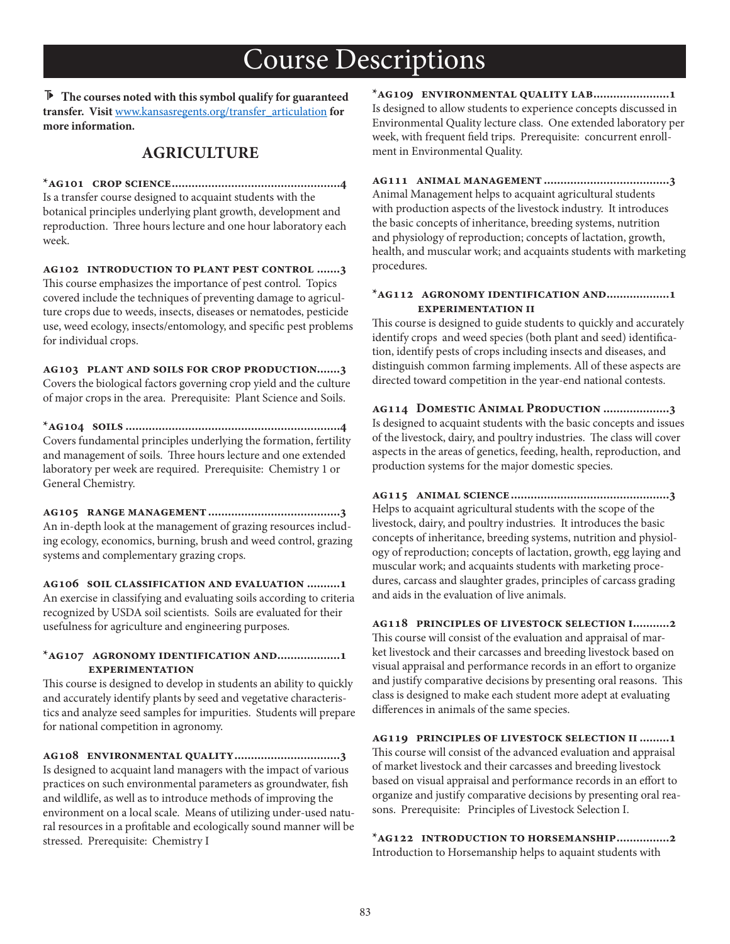**The courses noted with this symbol qualify for guaranteed transfer. Visit** www.kansasregents.org/transfer\_articulation **for more information.**

### **AGRICULTURE**

**\*ag101 crop science...................................................4** Is a transfer course designed to acquaint students with the botanical principles underlying plant growth, development and reproduction. Three hours lecture and one hour laboratory each week.

**ag102 introduction to plant pest control .......3** This course emphasizes the importance of pest control. Topics covered include the techniques of preventing damage to agriculture crops due to weeds, insects, diseases or nematodes, pesticide use, weed ecology, insects/entomology, and specific pest problems for individual crops.

**ag103 plant and soils for crop production.......3**  Covers the biological factors governing crop yield and the culture of major crops in the area. Prerequisite: Plant Science and Soils.

**\*ag104 soils .................................................................4** Covers fundamental principles underlying the formation, fertility and management of soils. Three hours lecture and one extended laboratory per week are required. Prerequisite: Chemistry 1 or General Chemistry.

**ag105 range management........................................3** An in-depth look at the management of grazing resources including ecology, economics, burning, brush and weed control, grazing systems and complementary grazing crops.

**ag106 soil classification and evaluation ..........1** An exercise in classifying and evaluating soils according to criteria recognized by USDA soil scientists. Soils are evaluated for their usefulness for agriculture and engineering purposes.

#### **\*ag107 agronomy identification and...................1 experimentation**

This course is designed to develop in students an ability to quickly and accurately identify plants by seed and vegetative characteristics and analyze seed samples for impurities. Students will prepare for national competition in agronomy.

**ag108 environmental quality................................3** Is designed to acquaint land managers with the impact of various practices on such environmental parameters as groundwater, fish and wildlife, as well as to introduce methods of improving the environment on a local scale. Means of utilizing under-used natural resources in a profitable and ecologically sound manner will be stressed. Prerequisite: Chemistry I

**\*ag109 environmental quality lab.......................1** Is designed to allow students to experience concepts discussed in Environmental Quality lecture class. One extended laboratory per week, with frequent field trips. Prerequisite: concurrent enrollment in Environmental Quality.

**ag111 animal management ......................................3** Animal Management helps to acquaint agricultural students with production aspects of the livestock industry. It introduces the basic concepts of inheritance, breeding systems, nutrition and physiology of reproduction; concepts of lactation, growth, health, and muscular work; and acquaints students with marketing procedures.

#### **\*ag112 agronomy identification and...................1 experimentation ii**

This course is designed to guide students to quickly and accurately identify crops and weed species (both plant and seed) identification, identify pests of crops including insects and diseases, and distinguish common farming implements. All of these aspects are directed toward competition in the year-end national contests.

**ag114 Domestic Animal Production ....................3** Is designed to acquaint students with the basic concepts and issues of the livestock, dairy, and poultry industries. The class will cover aspects in the areas of genetics, feeding, health, reproduction, and production systems for the major domestic species.

**ag115 animal science................................................3** Helps to acquaint agricultural students with the scope of the livestock, dairy, and poultry industries. It introduces the basic concepts of inheritance, breeding systems, nutrition and physiology of reproduction; concepts of lactation, growth, egg laying and muscular work; and acquaints students with marketing procedures, carcass and slaughter grades, principles of carcass grading and aids in the evaluation of live animals.

**ag118 principles of livestock selection i...........2** This course will consist of the evaluation and appraisal of market livestock and their carcasses and breeding livestock based on visual appraisal and performance records in an effort to organize and justify comparative decisions by presenting oral reasons. This class is designed to make each student more adept at evaluating differences in animals of the same species.

**ag119 principles of livestock selection ii.........1** This course will consist of the advanced evaluation and appraisal of market livestock and their carcasses and breeding livestock based on visual appraisal and performance records in an effort to organize and justify comparative decisions by presenting oral reasons. Prerequisite: Principles of Livestock Selection I.

**\*ag122 introduction to horsemanship................2** Introduction to Horsemanship helps to aquaint students with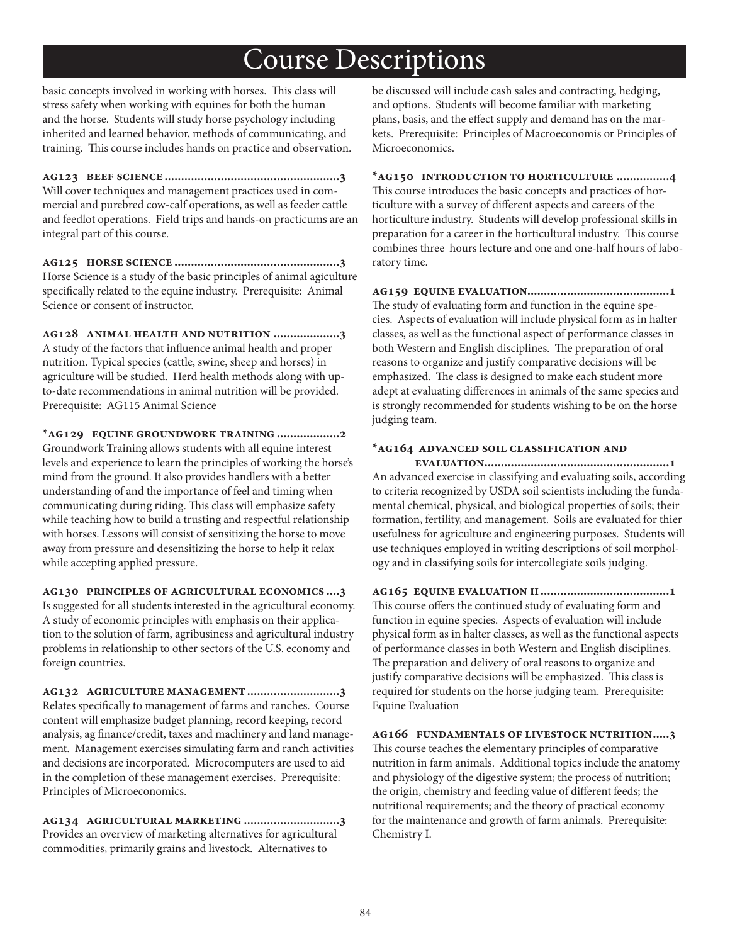basic concepts involved in working with horses. This class will stress safety when working with equines for both the human and the horse. Students will study horse psychology including inherited and learned behavior, methods of communicating, and training. This course includes hands on practice and observation.

**ag123 beef science .....................................................3** Will cover techniques and management practices used in commercial and purebred cow-calf operations, as well as feeder cattle and feedlot operations. Field trips and hands-on practicums are an integral part of this course.

**ag125 horse science ..................................................3** Horse Science is a study of the basic principles of animal agiculture specifically related to the equine industry. Prerequisite: Animal Science or consent of instructor.

**ag128 animal health and nutrition ....................3** A study of the factors that influence animal health and proper nutrition. Typical species (cattle, swine, sheep and horses) in agriculture will be studied. Herd health methods along with upto-date recommendations in animal nutrition will be provided. Prerequisite: AG115 Animal Science

**\*ag129 equine groundwork training ...................2** Groundwork Training allows students with all equine interest levels and experience to learn the principles of working the horse's mind from the ground. It also provides handlers with a better understanding of and the importance of feel and timing when communicating during riding. This class will emphasize safety while teaching how to build a trusting and respectful relationship with horses. Lessons will consist of sensitizing the horse to move away from pressure and desensitizing the horse to help it relax while accepting applied pressure.

**ag130 principles of agricultural economics ....3** Is suggested for all students interested in the agricultural economy. A study of economic principles with emphasis on their application to the solution of farm, agribusiness and agricultural industry problems in relationship to other sectors of the U.S. economy and foreign countries.

**ag132 agriculture management............................3** Relates specifically to management of farms and ranches. Course content will emphasize budget planning, record keeping, record analysis, ag finance/credit, taxes and machinery and land management. Management exercises simulating farm and ranch activities and decisions are incorporated. Microcomputers are used to aid in the completion of these management exercises. Prerequisite: Principles of Microeconomics.

**ag134 agricultural marketing .............................3** Provides an overview of marketing alternatives for agricultural commodities, primarily grains and livestock. Alternatives to

be discussed will include cash sales and contracting, hedging, and options. Students will become familiar with marketing plans, basis, and the effect supply and demand has on the markets. Prerequisite: Principles of Macroeconomis or Principles of Microeconomics.

**\*ag150 introduction to horticulture ................4** This course introduces the basic concepts and practices of horticulture with a survey of different aspects and careers of the horticulture industry. Students will develop professional skills in preparation for a career in the horticultural industry. This course combines three hours lecture and one and one-half hours of laboratory time.

**ag159 equine evaluation...........................................1** The study of evaluating form and function in the equine species. Aspects of evaluation will include physical form as in halter classes, as well as the functional aspect of performance classes in both Western and English disciplines. The preparation of oral reasons to organize and justify comparative decisions will be emphasized. The class is designed to make each student more adept at evaluating differences in animals of the same species and is strongly recommended for students wishing to be on the horse judging team.

#### **\*ag164 advanced soil classification and**

 **evaluation........................................................1** An advanced exercise in classifying and evaluating soils, according to criteria recognized by USDA soil scientists including the fundamental chemical, physical, and biological properties of soils; their formation, fertility, and management. Soils are evaluated for thier usefulness for agriculture and engineering purposes. Students will use techniques employed in writing descriptions of soil morphology and in classifying soils for intercollegiate soils judging.

**ag165 equine evaluation ii.......................................1** This course offers the continued study of evaluating form and function in equine species. Aspects of evaluation will include physical form as in halter classes, as well as the functional aspects of performance classes in both Western and English disciplines. The preparation and delivery of oral reasons to organize and justify comparative decisions will be emphasized. This class is required for students on the horse judging team. Prerequisite: Equine Evaluation

**ag166 fundamentals of livestock nutrition.....3** This course teaches the elementary principles of comparative nutrition in farm animals. Additional topics include the anatomy and physiology of the digestive system; the process of nutrition; the origin, chemistry and feeding value of different feeds; the nutritional requirements; and the theory of practical economy for the maintenance and growth of farm animals. Prerequisite: Chemistry I.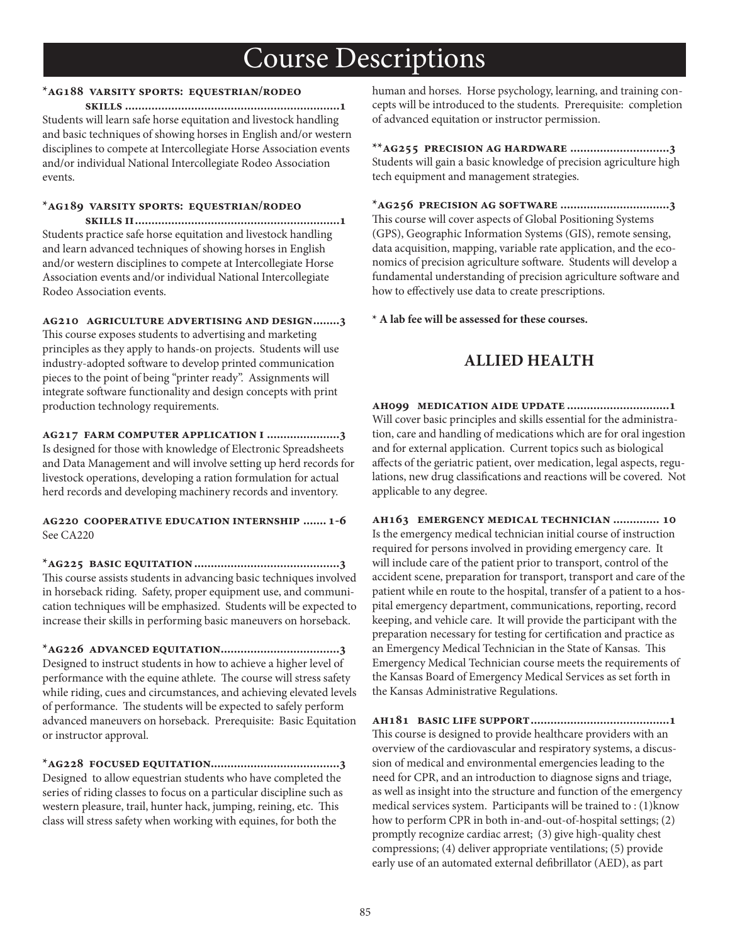### **\*ag188 varsity sports: equestrian/rodeo**

 **skills .................................................................1** Students will learn safe horse equitation and livestock handling and basic techniques of showing horses in English and/or western disciplines to compete at Intercollegiate Horse Association events and/or individual National Intercollegiate Rodeo Association events.

### **\*ag189 varsity sports: equestrian/rodeo**

 **skills ii..............................................................1** Students practice safe horse equitation and livestock handling and learn advanced techniques of showing horses in English and/or western disciplines to compete at Intercollegiate Horse Association events and/or individual National Intercollegiate Rodeo Association events.

#### **ag210 agriculture advertising and design........3**

This course exposes students to advertising and marketing principles as they apply to hands-on projects. Students will use industry-adopted software to develop printed communication pieces to the point of being "printer ready". Assignments will integrate software functionality and design concepts with print production technology requirements.

**ag217 farm computer application i ......................3** Is designed for those with knowledge of Electronic Spreadsheets and Data Management and will involve setting up herd records for livestock operations, developing a ration formulation for actual herd records and developing machinery records and inventory.

#### **ag220 cooperative education internship ....... 1-6** See CA220

**\*ag225 basic equitation............................................3** This course assists students in advancing basic techniques involved in horseback riding. Safety, proper equipment use, and communication techniques will be emphasized. Students will be expected to increase their skills in performing basic maneuvers on horseback.

**\*ag226 advanced equitation....................................3** Designed to instruct students in how to achieve a higher level of performance with the equine athlete. The course will stress safety while riding, cues and circumstances, and achieving elevated levels of performance. The students will be expected to safely perform advanced maneuvers on horseback. Prerequisite: Basic Equitation or instructor approval.

**\*ag228 focused equitation.......................................3** Designed to allow equestrian students who have completed the series of riding classes to focus on a particular discipline such as western pleasure, trail, hunter hack, jumping, reining, etc. This class will stress safety when working with equines, for both the

human and horses. Horse psychology, learning, and training concepts will be introduced to the students. Prerequisite: completion of advanced equitation or instructor permission.

**\*\*ag255 precision ag hardware ..............................3** Students will gain a basic knowledge of precision agriculture high tech equipment and management strategies.

**\*ag256 precision ag software .................................3** This course will cover aspects of Global Positioning Systems (GPS), Geographic Information Systems (GIS), remote sensing, data acquisition, mapping, variable rate application, and the economics of precision agriculture software. Students will develop a fundamental understanding of precision agriculture software and how to effectively use data to create prescriptions.

**\* A lab fee will be assessed for these courses.**

## **ALLIED HEALTH**

**ah099 medication aide update ...............................1** Will cover basic principles and skills essential for the administration, care and handling of medications which are for oral ingestion and for external application. Current topics such as biological affects of the geriatric patient, over medication, legal aspects, regulations, new drug classifications and reactions will be covered. Not applicable to any degree.

**ah163 emergency medical technician .............. 10** Is the emergency medical technician initial course of instruction required for persons involved in providing emergency care. It will include care of the patient prior to transport, control of the accident scene, preparation for transport, transport and care of the patient while en route to the hospital, transfer of a patient to a hospital emergency department, communications, reporting, record keeping, and vehicle care. It will provide the participant with the preparation necessary for testing for certification and practice as an Emergency Medical Technician in the State of Kansas. This Emergency Medical Technician course meets the requirements of the Kansas Board of Emergency Medical Services as set forth in the Kansas Administrative Regulations.

**ah181 basic life support..........................................1** This course is designed to provide healthcare providers with an overview of the cardiovascular and respiratory systems, a discussion of medical and environmental emergencies leading to the need for CPR, and an introduction to diagnose signs and triage, as well as insight into the structure and function of the emergency medical services system. Participants will be trained to : (1)know how to perform CPR in both in-and-out-of-hospital settings; (2) promptly recognize cardiac arrest; (3) give high-quality chest compressions; (4) deliver appropriate ventilations; (5) provide early use of an automated external defibrillator (AED), as part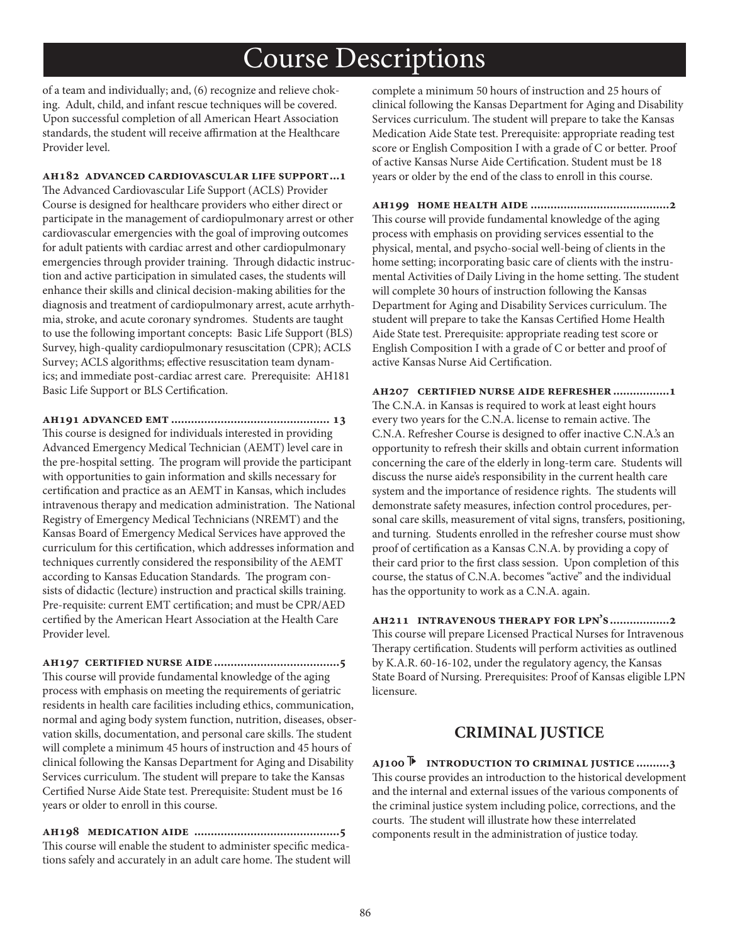of a team and individually; and, (6) recognize and relieve choking. Adult, child, and infant rescue techniques will be covered. Upon successful completion of all American Heart Association standards, the student will receive affirmation at the Healthcare Provider level.

**ah182 advanced cardiovascular life support...1**

The Advanced Cardiovascular Life Support (ACLS) Provider Course is designed for healthcare providers who either direct or participate in the management of cardiopulmonary arrest or other cardiovascular emergencies with the goal of improving outcomes for adult patients with cardiac arrest and other cardiopulmonary emergencies through provider training. Through didactic instruction and active participation in simulated cases, the students will enhance their skills and clinical decision-making abilities for the diagnosis and treatment of cardiopulmonary arrest, acute arrhythmia, stroke, and acute coronary syndromes. Students are taught to use the following important concepts: Basic Life Support (BLS) Survey, high-quality cardiopulmonary resuscitation (CPR); ACLS Survey; ACLS algorithms; effective resuscitation team dynamics; and immediate post-cardiac arrest care. Prerequisite: AH181 Basic Life Support or BLS Certification.

**ah191 advanced emt ................................................ 13** This course is designed for individuals interested in providing Advanced Emergency Medical Technician (AEMT) level care in the pre-hospital setting. The program will provide the participant with opportunities to gain information and skills necessary for certification and practice as an AEMT in Kansas, which includes intravenous therapy and medication administration. The National Registry of Emergency Medical Technicians (NREMT) and the Kansas Board of Emergency Medical Services have approved the curriculum for this certification, which addresses information and techniques currently considered the responsibility of the AEMT according to Kansas Education Standards. The program consists of didactic (lecture) instruction and practical skills training. Pre-requisite: current EMT certification; and must be CPR/AED certified by the American Heart Association at the Health Care Provider level.

**ah197 certified nurse aide......................................5** This course will provide fundamental knowledge of the aging process with emphasis on meeting the requirements of geriatric residents in health care facilities including ethics, communication, normal and aging body system function, nutrition, diseases, observation skills, documentation, and personal care skills. The student will complete a minimum 45 hours of instruction and 45 hours of clinical following the Kansas Department for Aging and Disability Services curriculum. The student will prepare to take the Kansas Certified Nurse Aide State test. Prerequisite: Student must be 16 years or older to enroll in this course.

**ah198 medication aide ............................................5** This course will enable the student to administer specific medications safely and accurately in an adult care home. The student will complete a minimum 50 hours of instruction and 25 hours of clinical following the Kansas Department for Aging and Disability Services curriculum. The student will prepare to take the Kansas Medication Aide State test. Prerequisite: appropriate reading test score or English Composition I with a grade of C or better. Proof of active Kansas Nurse Aide Certification. Student must be 18 years or older by the end of the class to enroll in this course.

**ah199 home health aide ..........................................2** This course will provide fundamental knowledge of the aging process with emphasis on providing services essential to the physical, mental, and psycho-social well-being of clients in the home setting; incorporating basic care of clients with the instrumental Activities of Daily Living in the home setting. The student will complete 30 hours of instruction following the Kansas Department for Aging and Disability Services curriculum. The student will prepare to take the Kansas Certified Home Health Aide State test. Prerequisite: appropriate reading test score or English Composition I with a grade of C or better and proof of active Kansas Nurse Aid Certification.

#### **ah207 certified nurse aide refresher.................1**

The C.N.A. in Kansas is required to work at least eight hours every two years for the C.N.A. license to remain active. The C.N.A. Refresher Course is designed to offer inactive C.N.A.'s an opportunity to refresh their skills and obtain current information concerning the care of the elderly in long-term care. Students will discuss the nurse aide's responsibility in the current health care system and the importance of residence rights. The students will demonstrate safety measures, infection control procedures, personal care skills, measurement of vital signs, transfers, positioning, and turning. Students enrolled in the refresher course must show proof of certification as a Kansas C.N.A. by providing a copy of their card prior to the first class session. Upon completion of this course, the status of C.N.A. becomes "active" and the individual has the opportunity to work as a C.N.A. again.

**ah211 intravenous therapy for lpn's..................2** This course will prepare Licensed Practical Nurses for Intravenous Therapy certification. Students will perform activities as outlined by K.A.R. 60-16-102, under the regulatory agency, the Kansas State Board of Nursing. Prerequisites: Proof of Kansas eligible LPN licensure.

### **CRIMINAL JUSTICE**

**aj100 introduction to criminal justice ..........3** This course provides an introduction to the historical development and the internal and external issues of the various components of the criminal justice system including police, corrections, and the courts. The student will illustrate how these interrelated components result in the administration of justice today.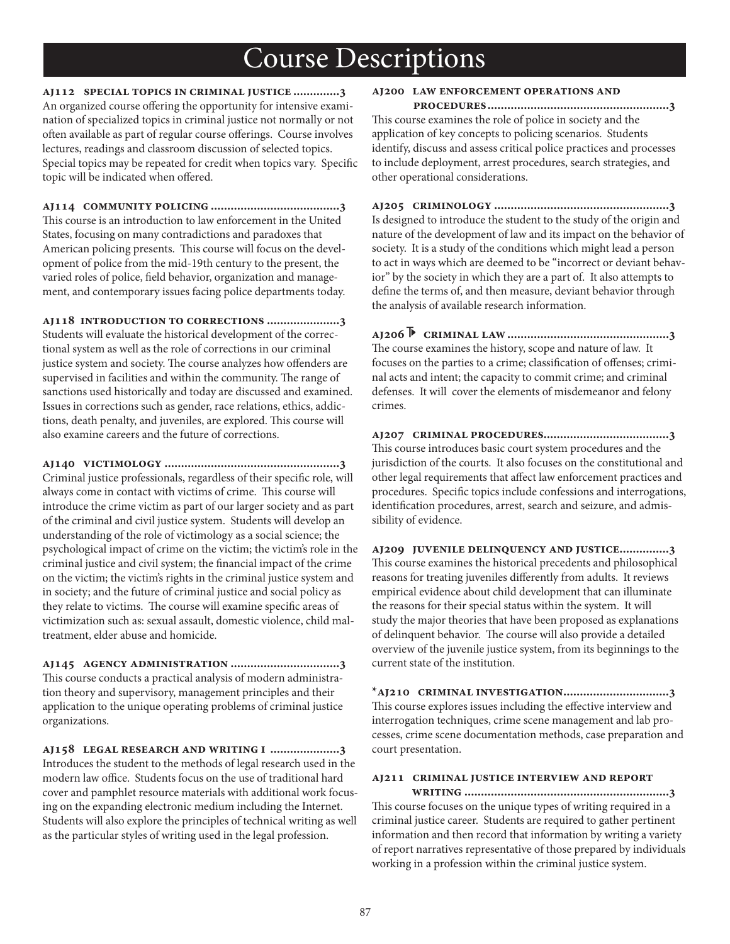**aj112 special topics in criminal justice ..............3** An organized course offering the opportunity for intensive examination of specialized topics in criminal justice not normally or not often available as part of regular course offerings. Course involves lectures, readings and classroom discussion of selected topics. Special topics may be repeated for credit when topics vary. Specific topic will be indicated when offered.

**aj114 community policing .......................................3** This course is an introduction to law enforcement in the United States, focusing on many contradictions and paradoxes that American policing presents. This course will focus on the development of police from the mid-19th century to the present, the varied roles of police, field behavior, organization and management, and contemporary issues facing police departments today.

**aj118 introduction to corrections ......................3** Students will evaluate the historical development of the correctional system as well as the role of corrections in our criminal justice system and society. The course analyzes how offenders are supervised in facilities and within the community. The range of sanctions used historically and today are discussed and examined. Issues in corrections such as gender, race relations, ethics, addictions, death penalty, and juveniles, are explored. This course will also examine careers and the future of corrections.

**aj140 victimology .....................................................3** Criminal justice professionals, regardless of their specific role, will always come in contact with victims of crime. This course will introduce the crime victim as part of our larger society and as part of the criminal and civil justice system. Students will develop an understanding of the role of victimology as a social science; the psychological impact of crime on the victim; the victim's role in the criminal justice and civil system; the financial impact of the crime on the victim; the victim's rights in the criminal justice system and in society; and the future of criminal justice and social policy as they relate to victims. The course will examine specific areas of victimization such as: sexual assault, domestic violence, child maltreatment, elder abuse and homicide.

**aj145 agency administration .................................3** This course conducts a practical analysis of modern administration theory and supervisory, management principles and their application to the unique operating problems of criminal justice organizations.

**aj158 legal research and writing i .....................3** Introduces the student to the methods of legal research used in the modern law office. Students focus on the use of traditional hard cover and pamphlet resource materials with additional work focusing on the expanding electronic medium including the Internet. Students will also explore the principles of technical writing as well as the particular styles of writing used in the legal profession.

#### **aj200 law enforcement operations and**

 **procedures.......................................................3** This course examines the role of police in society and the application of key concepts to policing scenarios. Students identify, discuss and assess critical police practices and processes to include deployment, arrest procedures, search strategies, and other operational considerations.

**aj205 criminology .....................................................3** Is designed to introduce the student to the study of the origin and nature of the development of law and its impact on the behavior of society. It is a study of the conditions which might lead a person to act in ways which are deemed to be "incorrect or deviant behavior" by the society in which they are a part of. It also attempts to define the terms of, and then measure, deviant behavior through the analysis of available research information.

**aj206 criminal law.................................................3** The course examines the history, scope and nature of law. It focuses on the parties to a crime; classification of offenses; criminal acts and intent; the capacity to commit crime; and criminal defenses. It will cover the elements of misdemeanor and felony crimes.

**aj207 criminal procedures......................................3** This course introduces basic court system procedures and the jurisdiction of the courts. It also focuses on the constitutional and other legal requirements that affect law enforcement practices and procedures. Specific topics include confessions and interrogations, identification procedures, arrest, search and seizure, and admissibility of evidence.

**aj209 juvenile delinquency and justice...............3** This course examines the historical precedents and philosophical reasons for treating juveniles differently from adults. It reviews empirical evidence about child development that can illuminate the reasons for their special status within the system. It will study the major theories that have been proposed as explanations of delinquent behavior. The course will also provide a detailed overview of the juvenile justice system, from its beginnings to the current state of the institution.

**\*aj210 criminal investigation................................3** This course explores issues including the effective interview and interrogation techniques, crime scene management and lab processes, crime scene documentation methods, case preparation and court presentation.

### **aj211 criminal justice interview and report**

 **writing ..............................................................3** This course focuses on the unique types of writing required in a criminal justice career. Students are required to gather pertinent information and then record that information by writing a variety of report narratives representative of those prepared by individuals working in a profession within the criminal justice system.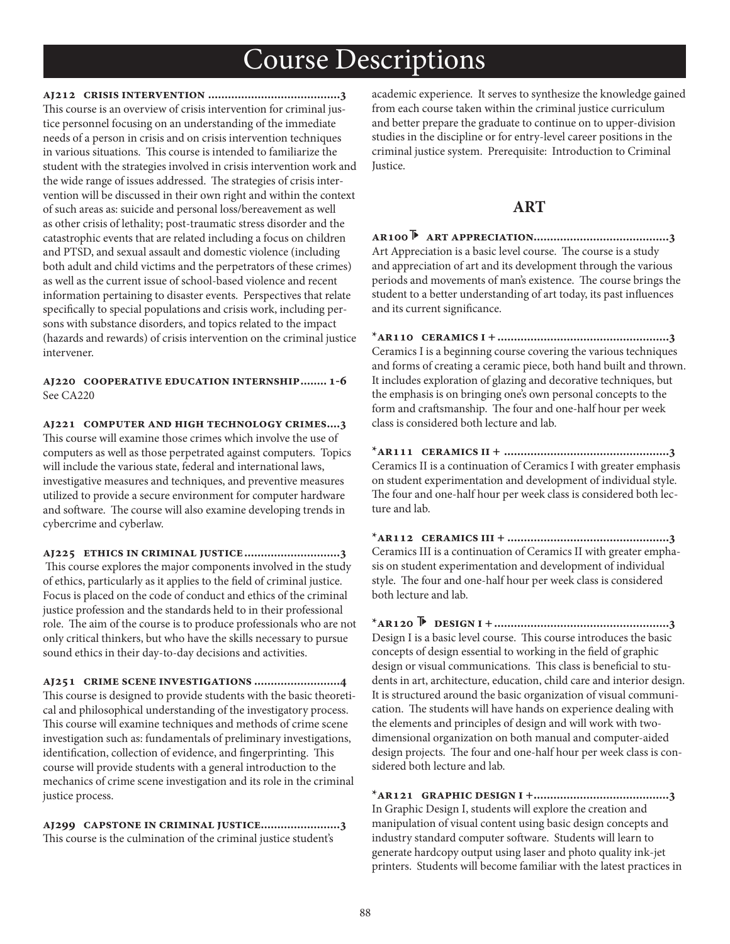**aj212 crisis intervention ........................................3** This course is an overview of crisis intervention for criminal justice personnel focusing on an understanding of the immediate needs of a person in crisis and on crisis intervention techniques in various situations. This course is intended to familiarize the student with the strategies involved in crisis intervention work and the wide range of issues addressed. The strategies of crisis intervention will be discussed in their own right and within the context of such areas as: suicide and personal loss/bereavement as well as other crisis of lethality; post-traumatic stress disorder and the catastrophic events that are related including a focus on children and PTSD, and sexual assault and domestic violence (including both adult and child victims and the perpetrators of these crimes) as well as the current issue of school-based violence and recent information pertaining to disaster events. Perspectives that relate specifically to special populations and crisis work, including persons with substance disorders, and topics related to the impact (hazards and rewards) of crisis intervention on the criminal justice intervener.

**aj220 cooperative education internship........ 1-6** See CA220

**aj221 computer and high technology crimes....3** This course will examine those crimes which involve the use of computers as well as those perpetrated against computers. Topics will include the various state, federal and international laws, investigative measures and techniques, and preventive measures utilized to provide a secure environment for computer hardware and software. The course will also examine developing trends in cybercrime and cyberlaw.

**aj225 ethics in criminal justice.............................3** This course explores the major components involved in the study of ethics, particularly as it applies to the field of criminal justice. Focus is placed on the code of conduct and ethics of the criminal justice profession and the standards held to in their professional role. The aim of the course is to produce professionals who are not only critical thinkers, but who have the skills necessary to pursue sound ethics in their day-to-day decisions and activities.

**aj251 crime scene investigations ..........................4** This course is designed to provide students with the basic theoretical and philosophical understanding of the investigatory process. This course will examine techniques and methods of crime scene investigation such as: fundamentals of preliminary investigations, identification, collection of evidence, and fingerprinting. This course will provide students with a general introduction to the mechanics of crime scene investigation and its role in the criminal justice process.

**aj299 capstone in criminal justice........................3** This course is the culmination of the criminal justice student's

academic experience. It serves to synthesize the knowledge gained from each course taken within the criminal justice curriculum and better prepare the graduate to continue on to upper-division studies in the discipline or for entry-level career positions in the criminal justice system. Prerequisite: Introduction to Criminal Justice.

### **ART**

**ar100 art appreciation.........................................3** Art Appreciation is a basic level course. The course is a study and appreciation of art and its development through the various periods and movements of man's existence. The course brings the student to a better understanding of art today, its past influences and its current significance.

**\*ar110 ceramics i +....................................................3** Ceramics I is a beginning course covering the various techniques and forms of creating a ceramic piece, both hand built and thrown. It includes exploration of glazing and decorative techniques, but the emphasis is on bringing one's own personal concepts to the form and craftsmanship. The four and one-half hour per week class is considered both lecture and lab.

**\*ar111 ceramics ii + ..................................................3** Ceramics II is a continuation of Ceramics I with greater emphasis on student experimentation and development of individual style. The four and one-half hour per week class is considered both lecture and lab.

**\*ar112 ceramics iii + .................................................3** Ceramics III is a continuation of Ceramics II with greater emphasis on student experimentation and development of individual style. The four and one-half hour per week class is considered both lecture and lab.

**\*ar120 design i +.....................................................3** Design I is a basic level course. This course introduces the basic concepts of design essential to working in the field of graphic design or visual communications. This class is beneficial to students in art, architecture, education, child care and interior design. It is structured around the basic organization of visual communication. The students will have hands on experience dealing with the elements and principles of design and will work with twodimensional organization on both manual and computer-aided design projects. The four and one-half hour per week class is considered both lecture and lab.

**\*ar121 graphic design i +.........................................3** In Graphic Design I, students will explore the creation and manipulation of visual content using basic design concepts and industry standard computer software. Students will learn to generate hardcopy output using laser and photo quality ink-jet printers. Students will become familiar with the latest practices in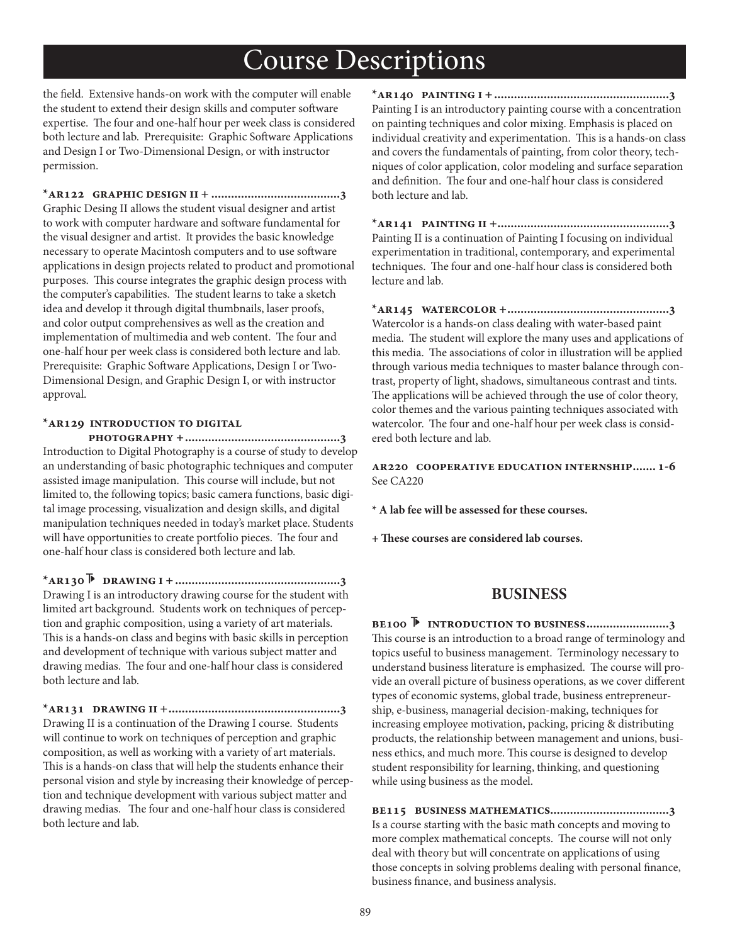the field. Extensive hands-on work with the computer will enable the student to extend their design skills and computer software expertise. The four and one-half hour per week class is considered both lecture and lab. Prerequisite: Graphic Software Applications and Design I or Two-Dimensional Design, or with instructor permission.

**\*ar122 graphic design ii + .......................................3** Graphic Desing II allows the student visual designer and artist to work with computer hardware and software fundamental for the visual designer and artist. It provides the basic knowledge necessary to operate Macintosh computers and to use software applications in design projects related to product and promotional purposes. This course integrates the graphic design process with the computer's capabilities. The student learns to take a sketch idea and develop it through digital thumbnails, laser proofs, and color output comprehensives as well as the creation and implementation of multimedia and web content. The four and one-half hour per week class is considered both lecture and lab. Prerequisite: Graphic Software Applications, Design I or Two-Dimensional Design, and Graphic Design I, or with instructor approval.

#### **\*ar129 introduction to digital**

 **photography +...............................................3** Introduction to Digital Photography is a course of study to develop an understanding of basic photographic techniques and computer assisted image manipulation. This course will include, but not limited to, the following topics; basic camera functions, basic digital image processing, visualization and design skills, and digital manipulation techniques needed in today's market place. Students will have opportunities to create portfolio pieces. The four and one-half hour class is considered both lecture and lab.

**\*ar130 drawing i +..................................................3** Drawing I is an introductory drawing course for the student with limited art background. Students work on techniques of perception and graphic composition, using a variety of art materials. This is a hands-on class and begins with basic skills in perception and development of technique with various subject matter and drawing medias. The four and one-half hour class is considered both lecture and lab.

**\*ar131 drawing ii +....................................................3** Drawing II is a continuation of the Drawing I course. Students will continue to work on techniques of perception and graphic composition, as well as working with a variety of art materials. This is a hands-on class that will help the students enhance their personal vision and style by increasing their knowledge of perception and technique development with various subject matter and drawing medias. The four and one-half hour class is considered both lecture and lab.

**\*ar140 painting i +.....................................................3** Painting I is an introductory painting course with a concentration on painting techniques and color mixing. Emphasis is placed on individual creativity and experimentation. This is a hands-on class and covers the fundamentals of painting, from color theory, techniques of color application, color modeling and surface separation and definition. The four and one-half hour class is considered both lecture and lab.

**\*ar141 painting ii +....................................................3** Painting II is a continuation of Painting I focusing on individual experimentation in traditional, contemporary, and experimental techniques. The four and one-half hour class is considered both lecture and lab.

**\*ar145 watercolor +.................................................3** Watercolor is a hands-on class dealing with water-based paint media. The student will explore the many uses and applications of this media. The associations of color in illustration will be applied through various media techniques to master balance through contrast, property of light, shadows, simultaneous contrast and tints. The applications will be achieved through the use of color theory, color themes and the various painting techniques associated with watercolor. The four and one-half hour per week class is considered both lecture and lab.

**ar220 cooperative education internship....... 1-6** See CA220

**\* A lab fee will be assessed for these courses.**

**+ ;ese courses are considered lab courses.**

### **BUSINESS**

**be100 introduction to business.........................3** This course is an introduction to a broad range of terminology and topics useful to business management. Terminology necessary to understand business literature is emphasized. The course will provide an overall picture of business operations, as we cover different types of economic systems, global trade, business entrepreneurship, e-business, managerial decision-making, techniques for increasing employee motivation, packing, pricing & distributing products, the relationship between management and unions, business ethics, and much more. This course is designed to develop student responsibility for learning, thinking, and questioning while using business as the model.

**be115 business mathematics....................................3** Is a course starting with the basic math concepts and moving to more complex mathematical concepts. The course will not only deal with theory but will concentrate on applications of using those concepts in solving problems dealing with personal finance, business finance, and business analysis.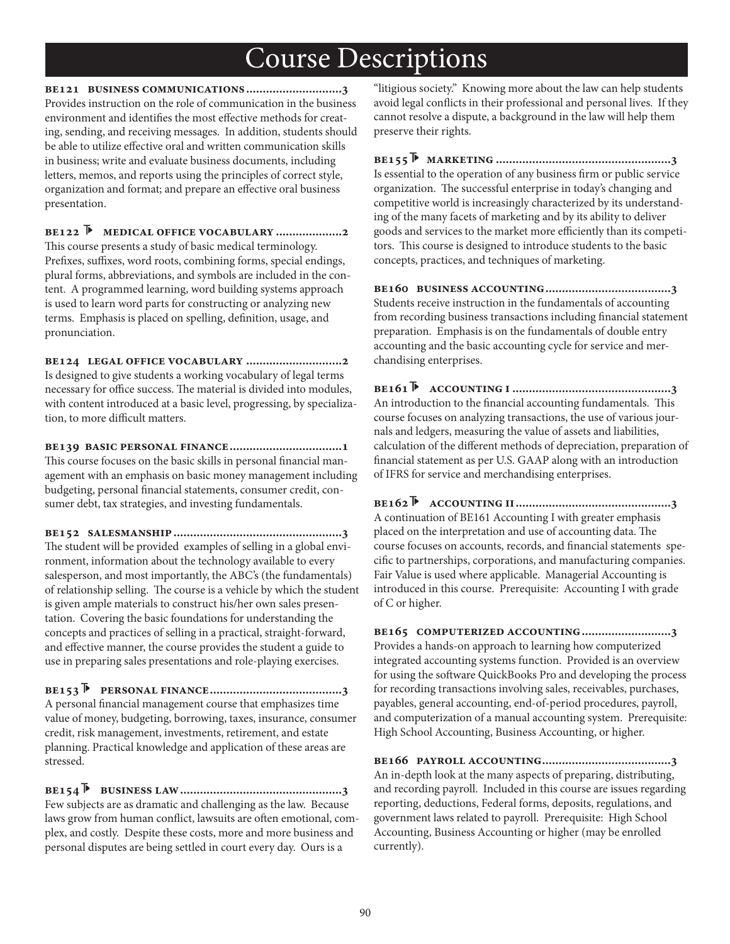**be121 business communications.............................3** Provides instruction on the role of communication in the business environment and identifies the most effective methods for creating, sending, and receiving messages. In addition, students should be able to utilize effective oral and written communication skills in business; write and evaluate business documents, including letters, memos, and reports using the principles of correct style, organization and format; and prepare an effective oral business presentation.

**be122 medical office vocabulary ....................2** This course presents a study of basic medical terminology. Prefixes, suffixes, word roots, combining forms, special endings, plural forms, abbreviations, and symbols are included in the content. A programmed learning, word building systems approach is used to learn word parts for constructing or analyzing new terms. Emphasis is placed on spelling, definition, usage, and pronunciation.

**be124 legal office vocabulary .............................2** Is designed to give students a working vocabulary of legal terms necessary for office success. The material is divided into modules, with content introduced at a basic level, progressing, by specialization, to more difficult matters.

**be139 basic personal finance..................................1** This course focuses on the basic skills in personal financial management with an emphasis on basic money management including budgeting, personal financial statements, consumer credit, consumer debt, tax strategies, and investing fundamentals.

**be152 salesmanship...................................................3** The student will be provided examples of selling in a global environment, information about the technology available to every salesperson, and most importantly, the ABC's (the fundamentals) of relationship selling. The course is a vehicle by which the student is given ample materials to construct his/her own sales presentation. Covering the basic foundations for understanding the concepts and practices of selling in a practical, straight-forward, and effective manner, the course provides the student a guide to use in preparing sales presentations and role-playing exercises.

**be153 personal finance........................................3** A personal financial management course that emphasizes time value of money, budgeting, borrowing, taxes, insurance, consumer credit, risk management, investments, retirement, and estate planning. Practical knowledge and application of these areas are stressed.

**be154 business law.................................................3** Few subjects are as dramatic and challenging as the law. Because laws grow from human conflict, lawsuits are often emotional, complex, and costly. Despite these costs, more and more business and personal disputes are being settled in court every day. Ours is a

"litigious society." Knowing more about the law can help students avoid legal conflicts in their professional and personal lives. If they cannot resolve a dispute, a background in the law will help them preserve their rights.

**be155 marketing .....................................................3** Is essential to the operation of any business firm or public service organization. The successful enterprise in today's changing and competitive world is increasingly characterized by its understanding of the many facets of marketing and by its ability to deliver goods and services to the market more efficiently than its competitors. This course is designed to introduce students to the basic concepts, practices, and techniques of marketing.

**be160 business accounting......................................3** Students receive instruction in the fundamentals of accounting from recording business transactions including financial statement preparation. Emphasis is on the fundamentals of double entry accounting and the basic accounting cycle for service and merchandising enterprises.

**be161 accounting i ................................................3** An introduction to the financial accounting fundamentals. This course focuses on analyzing transactions, the use of various journals and ledgers, measuring the value of assets and liabilities, calculation of the different methods of depreciation, preparation of financial statement as per U.S. GAAP along with an introduction of IFRS for service and merchandising enterprises.

**be162 accounting ii...............................................3** A continuation of BE161 Accounting I with greater emphasis placed on the interpretation and use of accounting data. The course focuses on accounts, records, and financial statements specific to partnerships, corporations, and manufacturing companies. Fair Value is used where applicable. Managerial Accounting is introduced in this course. Prerequisite: Accounting I with grade of C or higher.

**be165 computerized accounting...........................3** Provides a hands-on approach to learning how computerized integrated accounting systems function. Provided is an overview for using the software QuickBooks Pro and developing the process for recording transactions involving sales, receivables, purchases, payables, general accounting, end-of-period procedures, payroll, and computerization of a manual accounting system. Prerequisite: High School Accounting, Business Accounting, or higher.

**be166 payroll accounting.......................................3** An in-depth look at the many aspects of preparing, distributing, and recording payroll. Included in this course are issues regarding reporting, deductions, Federal forms, deposits, regulations, and government laws related to payroll. Prerequisite: High School Accounting, Business Accounting or higher (may be enrolled currently).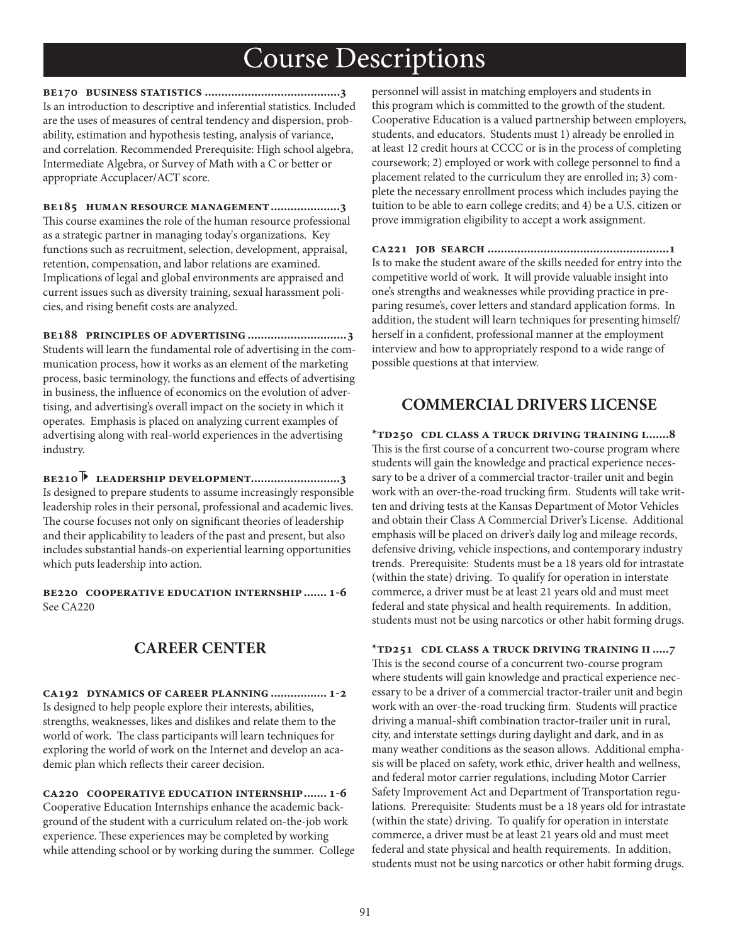**be170 business statistics .........................................3** Is an introduction to descriptive and inferential statistics. Included are the uses of measures of central tendency and dispersion, probability, estimation and hypothesis testing, analysis of variance, and correlation. Recommended Prerequisite: High school algebra, Intermediate Algebra, or Survey of Math with a C or better or appropriate Accuplacer/ACT score.

**be185 human resource management.....................3** This course examines the role of the human resource professional as a strategic partner in managing today's organizations. Key functions such as recruitment, selection, development, appraisal, retention, compensation, and labor relations are examined. Implications of legal and global environments are appraised and current issues such as diversity training, sexual harassment policies, and rising benefit costs are analyzed.

**be188 principles of advertising ..............................3** Students will learn the fundamental role of advertising in the communication process, how it works as an element of the marketing process, basic terminology, the functions and effects of advertising in business, the influence of economics on the evolution of advertising, and advertising's overall impact on the society in which it operates. Emphasis is placed on analyzing current examples of advertising along with real-world experiences in the advertising industry.

**be210 leadership development...........................3** Is designed to prepare students to assume increasingly responsible leadership roles in their personal, professional and academic lives. The course focuses not only on significant theories of leadership and their applicability to leaders of the past and present, but also includes substantial hands-on experiential learning opportunities which puts leadership into action.

**be220 cooperative education internship....... 1-6** See CA220

## **CAREER CENTER**

**ca192 dynamics of career planning................. 1-2** Is designed to help people explore their interests, abilities, strengths, weaknesses, likes and dislikes and relate them to the world of work. The class participants will learn techniques for exploring the world of work on the Internet and develop an academic plan which reflects their career decision.

**ca220 cooperative education internship....... 1-6** Cooperative Education Internships enhance the academic background of the student with a curriculum related on-the-job work experience. These experiences may be completed by working while attending school or by working during the summer. College personnel will assist in matching employers and students in this program which is committed to the growth of the student. Cooperative Education is a valued partnership between employers, students, and educators. Students must 1) already be enrolled in at least 12 credit hours at CCCC or is in the process of completing coursework; 2) employed or work with college personnel to find a placement related to the curriculum they are enrolled in; 3) complete the necessary enrollment process which includes paying the tuition to be able to earn college credits; and 4) be a U.S. citizen or prove immigration eligibility to accept a work assignment.

**ca221 job search .......................................................1** Is to make the student aware of the skills needed for entry into the competitive world of work. It will provide valuable insight into one's strengths and weaknesses while providing practice in preparing resume's, cover letters and standard application forms. In addition, the student will learn techniques for presenting himself/ herself in a confident, professional manner at the employment interview and how to appropriately respond to a wide range of possible questions at that interview.

### **COMMERCIAL DRIVERS LICENSE**

**\*td250 cdl class a truck driving training i.......8** This is the first course of a concurrent two-course program where students will gain the knowledge and practical experience necessary to be a driver of a commercial tractor-trailer unit and begin work with an over-the-road trucking firm. Students will take written and driving tests at the Kansas Department of Motor Vehicles and obtain their Class A Commercial Driver's License. Additional emphasis will be placed on driver's daily log and mileage records, defensive driving, vehicle inspections, and contemporary industry trends. Prerequisite: Students must be a 18 years old for intrastate (within the state) driving. To qualify for operation in interstate commerce, a driver must be at least 21 years old and must meet federal and state physical and health requirements. In addition, students must not be using narcotics or other habit forming drugs.

**\*td251 cdl class a truck driving training ii.....7** This is the second course of a concurrent two-course program where students will gain knowledge and practical experience necessary to be a driver of a commercial tractor-trailer unit and begin work with an over-the-road trucking firm. Students will practice driving a manual-shift combination tractor-trailer unit in rural, city, and interstate settings during daylight and dark, and in as many weather conditions as the season allows. Additional emphasis will be placed on safety, work ethic, driver health and wellness, and federal motor carrier regulations, including Motor Carrier Safety Improvement Act and Department of Transportation regulations. Prerequisite: Students must be a 18 years old for intrastate (within the state) driving. To qualify for operation in interstate commerce, a driver must be at least 21 years old and must meet federal and state physical and health requirements. In addition, students must not be using narcotics or other habit forming drugs.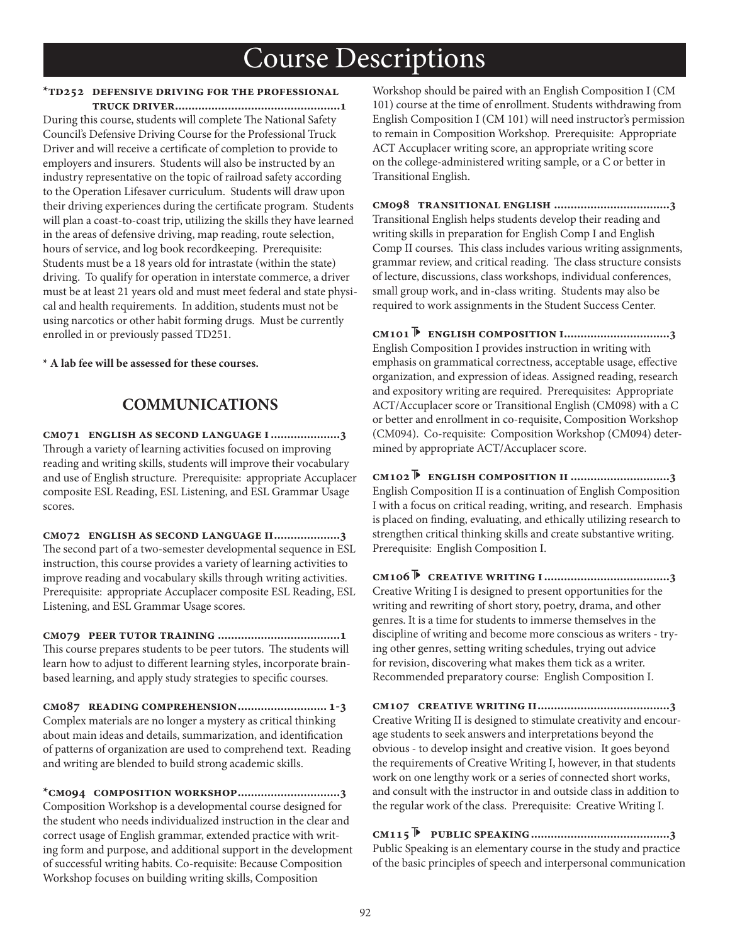### **\*td252 defensive driving for the professional**

 **truck driver..................................................1** During this course, students will complete The National Safety Council's Defensive Driving Course for the Professional Truck Driver and will receive a certificate of completion to provide to employers and insurers. Students will also be instructed by an industry representative on the topic of railroad safety according to the Operation Lifesaver curriculum. Students will draw upon their driving experiences during the certificate program. Students will plan a coast-to-coast trip, utilizing the skills they have learned in the areas of defensive driving, map reading, route selection, hours of service, and log book recordkeeping. Prerequisite: Students must be a 18 years old for intrastate (within the state) driving. To qualify for operation in interstate commerce, a driver must be at least 21 years old and must meet federal and state physical and health requirements. In addition, students must not be using narcotics or other habit forming drugs. Must be currently enrolled in or previously passed TD251.

**\* A lab fee will be assessed for these courses.**

## **COMMUNICATIONS**

**cm071 english as second language i.....................3** Through a variety of learning activities focused on improving reading and writing skills, students will improve their vocabulary and use of English structure. Prerequisite: appropriate Accuplacer composite ESL Reading, ESL Listening, and ESL Grammar Usage scores.

**cm072 english as second language ii....................3** The second part of a two-semester developmental sequence in ESL instruction, this course provides a variety of learning activities to improve reading and vocabulary skills through writing activities. Prerequisite: appropriate Accuplacer composite ESL Reading, ESL Listening, and ESL Grammar Usage scores.

**cm079 peer tutor training .....................................1** This course prepares students to be peer tutors. The students will learn how to adjust to different learning styles, incorporate brainbased learning, and apply study strategies to specific courses.

**cm087 reading comprehension........................... 1-3** Complex materials are no longer a mystery as critical thinking about main ideas and details, summarization, and identification of patterns of organization are used to comprehend text. Reading and writing are blended to build strong academic skills.

**\*cm094 composition workshop...............................3** Composition Workshop is a developmental course designed for the student who needs individualized instruction in the clear and correct usage of English grammar, extended practice with writing form and purpose, and additional support in the development of successful writing habits. Co-requisite: Because Composition Workshop focuses on building writing skills, Composition

Workshop should be paired with an English Composition I (CM 101) course at the time of enrollment. Students withdrawing from English Composition I (CM 101) will need instructor's permission to remain in Composition Workshop. Prerequisite: Appropriate ACT Accuplacer writing score, an appropriate writing score on the college-administered writing sample, or a C or better in Transitional English.

**cm098 transitional english ...................................3** Transitional English helps students develop their reading and writing skills in preparation for English Comp I and English Comp II courses. This class includes various writing assignments, grammar review, and critical reading. The class structure consists of lecture, discussions, class workshops, individual conferences, small group work, and in-class writing. Students may also be required to work assignments in the Student Success Center.

**cm101 english composition i................................3** English Composition I provides instruction in writing with emphasis on grammatical correctness, acceptable usage, effective organization, and expression of ideas. Assigned reading, research and expository writing are required. Prerequisites: Appropriate ACT/Accuplacer score or Transitional English (CM098) with a C or better and enrollment in co-requisite, Composition Workshop (CM094). Co-requisite: Composition Workshop (CM094) determined by appropriate ACT/Accuplacer score.

**cm102 english composition ii ..............................3** English Composition II is a continuation of English Composition I with a focus on critical reading, writing, and research. Emphasis is placed on finding, evaluating, and ethically utilizing research to strengthen critical thinking skills and create substantive writing. Prerequisite: English Composition I.

**cm106 creative writing i......................................3** Creative Writing I is designed to present opportunities for the writing and rewriting of short story, poetry, drama, and other genres. It is a time for students to immerse themselves in the discipline of writing and become more conscious as writers - trying other genres, setting writing schedules, trying out advice for revision, discovering what makes them tick as a writer. Recommended preparatory course: English Composition I.

**cm107 creative writing ii........................................3** Creative Writing II is designed to stimulate creativity and encourage students to seek answers and interpretations beyond the obvious - to develop insight and creative vision. It goes beyond the requirements of Creative Writing I, however, in that students work on one lengthy work or a series of connected short works, and consult with the instructor in and outside class in addition to the regular work of the class. Prerequisite: Creative Writing I.

**cm115 public speaking..........................................3** Public Speaking is an elementary course in the study and practice of the basic principles of speech and interpersonal communication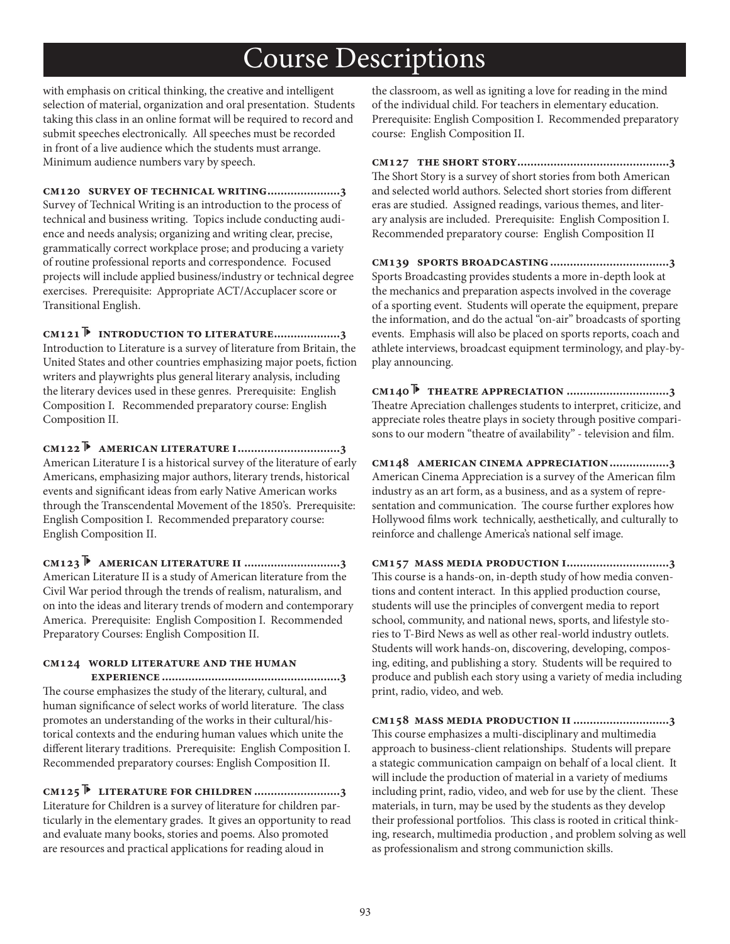with emphasis on critical thinking, the creative and intelligent selection of material, organization and oral presentation. Students taking this class in an online format will be required to record and submit speeches electronically. All speeches must be recorded in front of a live audience which the students must arrange. Minimum audience numbers vary by speech.

**cm120 survey of technical writing......................3** Survey of Technical Writing is an introduction to the process of technical and business writing. Topics include conducting audience and needs analysis; organizing and writing clear, precise, grammatically correct workplace prose; and producing a variety of routine professional reports and correspondence. Focused projects will include applied business/industry or technical degree exercises. Prerequisite: Appropriate ACT/Accuplacer score or Transitional English.

**cm121 introduction to literature....................3** Introduction to Literature is a survey of literature from Britain, the United States and other countries emphasizing major poets, fiction writers and playwrights plus general literary analysis, including the literary devices used in these genres. Prerequisite: English Composition I. Recommended preparatory course: English Composition II.

**cm122 american literature i...............................3** American Literature I is a historical survey of the literature of early Americans, emphasizing major authors, literary trends, historical events and significant ideas from early Native American works through the Transcendental Movement of the 1850's. Prerequisite: English Composition I. Recommended preparatory course: English Composition II.

**cm123 american literature ii .............................3** American Literature II is a study of American literature from the Civil War period through the trends of realism, naturalism, and on into the ideas and literary trends of modern and contemporary America. Prerequisite: English Composition I. Recommended Preparatory Courses: English Composition II.

## **cm124 world literature and the human**

 **experience ......................................................3** The course emphasizes the study of the literary, cultural, and human significance of select works of world literature. The class promotes an understanding of the works in their cultural/historical contexts and the enduring human values which unite the different literary traditions. Prerequisite: English Composition I. Recommended preparatory courses: English Composition II.

**cm125 literature for children ..........................3** Literature for Children is a survey of literature for children particularly in the elementary grades. It gives an opportunity to read and evaluate many books, stories and poems. Also promoted are resources and practical applications for reading aloud in

the classroom, as well as igniting a love for reading in the mind of the individual child. For teachers in elementary education. Prerequisite: English Composition I. Recommended preparatory course: English Composition II.

**cm127 the short story..............................................3** The Short Story is a survey of short stories from both American and selected world authors. Selected short stories from different eras are studied. Assigned readings, various themes, and literary analysis are included. Prerequisite: English Composition I. Recommended preparatory course: English Composition II

**cm139 sports broadcasting....................................3** Sports Broadcasting provides students a more in-depth look at the mechanics and preparation aspects involved in the coverage of a sporting event. Students will operate the equipment, prepare the information, and do the actual "on-air" broadcasts of sporting events. Emphasis will also be placed on sports reports, coach and athlete interviews, broadcast equipment terminology, and play-byplay announcing.

**cm140 theatre appreciation ...............................3** Theatre Apreciation challenges students to interpret, criticize, and appreciate roles theatre plays in society through positive comparisons to our modern "theatre of availability" - television and film.

**cm148 american cinema appreciation..................3** American Cinema Appreciation is a survey of the American film industry as an art form, as a business, and as a system of representation and communication. The course further explores how Hollywood films work technically, aesthetically, and culturally to reinforce and challenge America's national self image.

**cm157 mass media production i...............................3** This course is a hands-on, in-depth study of how media conventions and content interact. In this applied production course, students will use the principles of convergent media to report school, community, and national news, sports, and lifestyle stories to T-Bird News as well as other real-world industry outlets. Students will work hands-on, discovering, developing, composing, editing, and publishing a story. Students will be required to produce and publish each story using a variety of media including print, radio, video, and web.

**cm158 mass media production ii .............................3** This course emphasizes a multi-disciplinary and multimedia approach to business-client relationships. Students will prepare a stategic communication campaign on behalf of a local client. It will include the production of material in a variety of mediums including print, radio, video, and web for use by the client. These materials, in turn, may be used by the students as they develop their professional portfolios. This class is rooted in critical thinking, research, multimedia production , and problem solving as well as professionalism and strong communiction skills.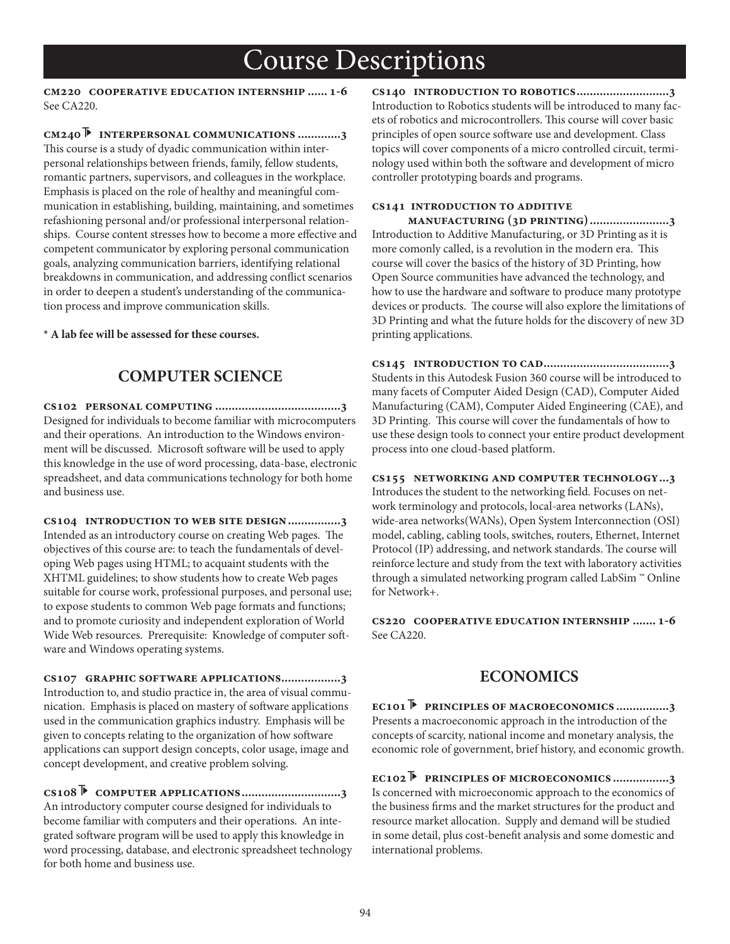**cm220 cooperative education internship ...... 1-6** See CA220.

**cm240 interpersonal communications .............3** This course is a study of dyadic communication within interpersonal relationships between friends, family, fellow students, romantic partners, supervisors, and colleagues in the workplace. Emphasis is placed on the role of healthy and meaningful communication in establishing, building, maintaining, and sometimes refashioning personal and/or professional interpersonal relationships. Course content stresses how to become a more effective and competent communicator by exploring personal communication goals, analyzing communication barriers, identifying relational breakdowns in communication, and addressing conflict scenarios in order to deepen a student's understanding of the communication process and improve communication skills.

**\* A lab fee will be assessed for these courses.**

## **COMPUTER SCIENCE**

**cs102 personal computing ......................................3** Designed for individuals to become familiar with microcomputers and their operations. An introduction to the Windows environment will be discussed. Microsoft software will be used to apply this knowledge in the use of word processing, data-base, electronic spreadsheet, and data communications technology for both home and business use.

**cs104 introduction to web site design................3** Intended as an introductory course on creating Web pages. The objectives of this course are: to teach the fundamentals of developing Web pages using HTML; to acquaint students with the XHTML guidelines; to show students how to create Web pages suitable for course work, professional purposes, and personal use; to expose students to common Web page formats and functions; and to promote curiosity and independent exploration of World Wide Web resources. Prerequisite: Knowledge of computer software and Windows operating systems.

**cs107 graphic software applications..................3** Introduction to, and studio practice in, the area of visual communication. Emphasis is placed on mastery of software applications used in the communication graphics industry. Emphasis will be given to concepts relating to the organization of how software applications can support design concepts, color usage, image and concept development, and creative problem solving.

**cs108 computer applications..............................3** An introductory computer course designed for individuals to become familiar with computers and their operations. An integrated software program will be used to apply this knowledge in word processing, database, and electronic spreadsheet technology for both home and business use.

**cs140 introduction to robotics............................3** Introduction to Robotics students will be introduced to many facets of robotics and microcontrollers. This course will cover basic principles of open source software use and development. Class topics will cover components of a micro controlled circuit, terminology used within both the software and development of micro controller prototyping boards and programs.

#### **cs141 introduction to additive**

 **manufacturing (3d printing)........................3** Introduction to Additive Manufacturing, or 3D Printing as it is more comonly called, is a revolution in the modern era. This course will cover the basics of the history of 3D Printing, how Open Source communities have advanced the technology, and how to use the hardware and software to produce many prototype devices or products. The course will also explore the limitations of 3D Printing and what the future holds for the discovery of new 3D printing applications.

**cs145 introduction to cad......................................3** Students in this Autodesk Fusion 360 course will be introduced to many facets of Computer Aided Design (CAD), Computer Aided Manufacturing (CAM), Computer Aided Engineering (CAE), and 3D Printing. This course will cover the fundamentals of how to use these design tools to connect your entire product development process into one cloud-based platform.

**cs155 networking and computer technology...3** Introduces the student to the networking field. Focuses on network terminology and protocols, local-area networks (LANs), wide-area networks(WANs), Open System Interconnection (OSI) model, cabling, cabling tools, switches, routers, Ethernet, Internet Protocol (IP) addressing, and network standards. The course will reinforce lecture and study from the text with laboratory activities through a simulated networking program called LabSim ™ Online for Network+.

**cs220 cooperative education internship ....... 1-6** See CA220.

### **ECONOMICS**

**ec101 principles of macroeconomics ................3** Presents a macroeconomic approach in the introduction of the concepts of scarcity, national income and monetary analysis, the economic role of government, brief history, and economic growth.

**ec102 principles of microeconomics .................3** Is concerned with microeconomic approach to the economics of the business firms and the market structures for the product and resource market allocation. Supply and demand will be studied in some detail, plus cost-benefit analysis and some domestic and international problems.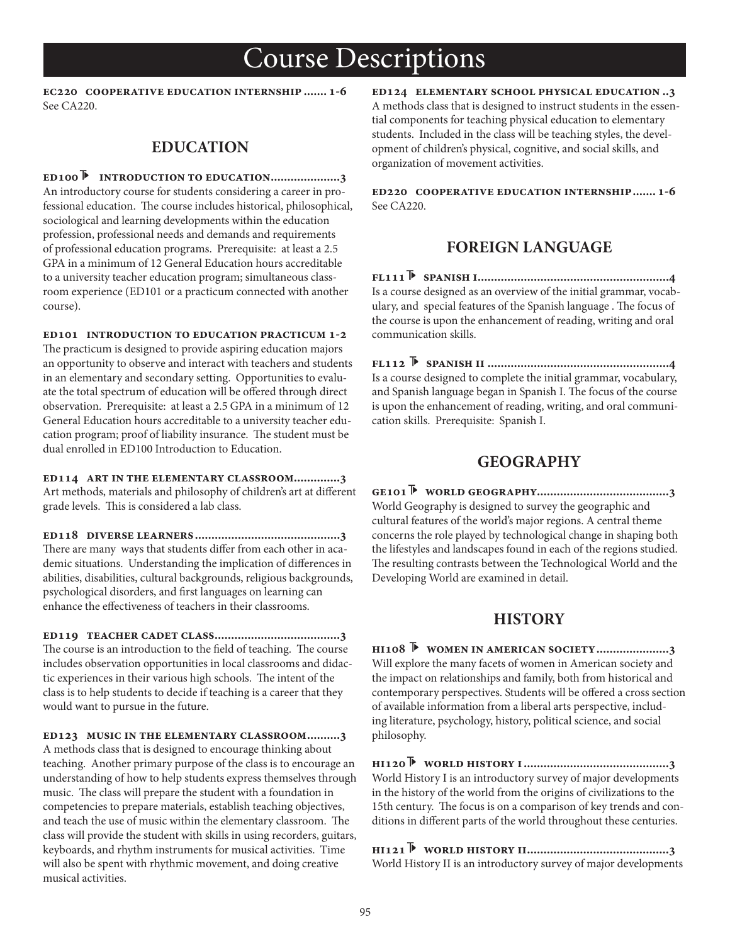**ec220 cooperative education internship ....... 1-6** See CA220.

### **EDUCATION**

**ed100 introduction to education.....................3** An introductory course for students considering a career in professional education. The course includes historical, philosophical, sociological and learning developments within the education profession, professional needs and demands and requirements of professional education programs. Prerequisite: at least a 2.5 GPA in a minimum of 12 General Education hours accreditable to a university teacher education program; simultaneous classroom experience (ED101 or a practicum connected with another course).

**ed101 introduction to education practicum 1-2** The practicum is designed to provide aspiring education majors an opportunity to observe and interact with teachers and students in an elementary and secondary setting. Opportunities to evaluate the total spectrum of education will be offered through direct observation. Prerequisite: at least a 2.5 GPA in a minimum of 12 General Education hours accreditable to a university teacher education program; proof of liability insurance. The student must be dual enrolled in ED100 Introduction to Education.

**ed114 art in the elementary classroom..............3** Art methods, materials and philosophy of children's art at different grade levels. This is considered a lab class.

**ed118 diverse learners............................................3** There are many ways that students differ from each other in academic situations. Understanding the implication of differences in abilities, disabilities, cultural backgrounds, religious backgrounds, psychological disorders, and first languages on learning can enhance the effectiveness of teachers in their classrooms.

**ed119 teacher cadet class......................................3** The course is an introduction to the field of teaching. The course includes observation opportunities in local classrooms and didactic experiences in their various high schools. The intent of the class is to help students to decide if teaching is a career that they would want to pursue in the future.

**ed123 music in the elementary classroom..........3** A methods class that is designed to encourage thinking about teaching. Another primary purpose of the class is to encourage an understanding of how to help students express themselves through music. The class will prepare the student with a foundation in competencies to prepare materials, establish teaching objectives, and teach the use of music within the elementary classroom. The class will provide the student with skills in using recorders, guitars, keyboards, and rhythm instruments for musical activities. Time will also be spent with rhythmic movement, and doing creative musical activities.

**ed124 elementary school physical education ..3** A methods class that is designed to instruct students in the essential components for teaching physical education to elementary students. Included in the class will be teaching styles, the development of children's physical, cognitive, and social skills, and organization of movement activities.

**ed220 cooperative education internship....... 1-6** See CA220.

## **FOREIGN LANGUAGE**

**fl111 spanish i..........................................................4** Is a course designed as an overview of the initial grammar, vocabulary, and special features of the Spanish language . The focus of the course is upon the enhancement of reading, writing and oral communication skills.

**fl112 spanish ii .......................................................4** Is a course designed to complete the initial grammar, vocabulary, and Spanish language began in Spanish I. The focus of the course is upon the enhancement of reading, writing, and oral communication skills. Prerequisite: Spanish I.

### **GEOGRAPHY**

**ge101 world geography........................................3** World Geography is designed to survey the geographic and cultural features of the world's major regions. A central theme concerns the role played by technological change in shaping both the lifestyles and landscapes found in each of the regions studied. The resulting contrasts between the Technological World and the Developing World are examined in detail.

### **HISTORY**

**hi108 women in american society......................3** Will explore the many facets of women in American society and the impact on relationships and family, both from historical and contemporary perspectives. Students will be offered a cross section of available information from a liberal arts perspective, including literature, psychology, history, political science, and social philosophy.

**hi120 world history i............................................3** World History I is an introductory survey of major developments in the history of the world from the origins of civilizations to the 15th century. The focus is on a comparison of key trends and conditions in different parts of the world throughout these centuries.

**hi121 world history ii...........................................3** World History II is an introductory survey of major developments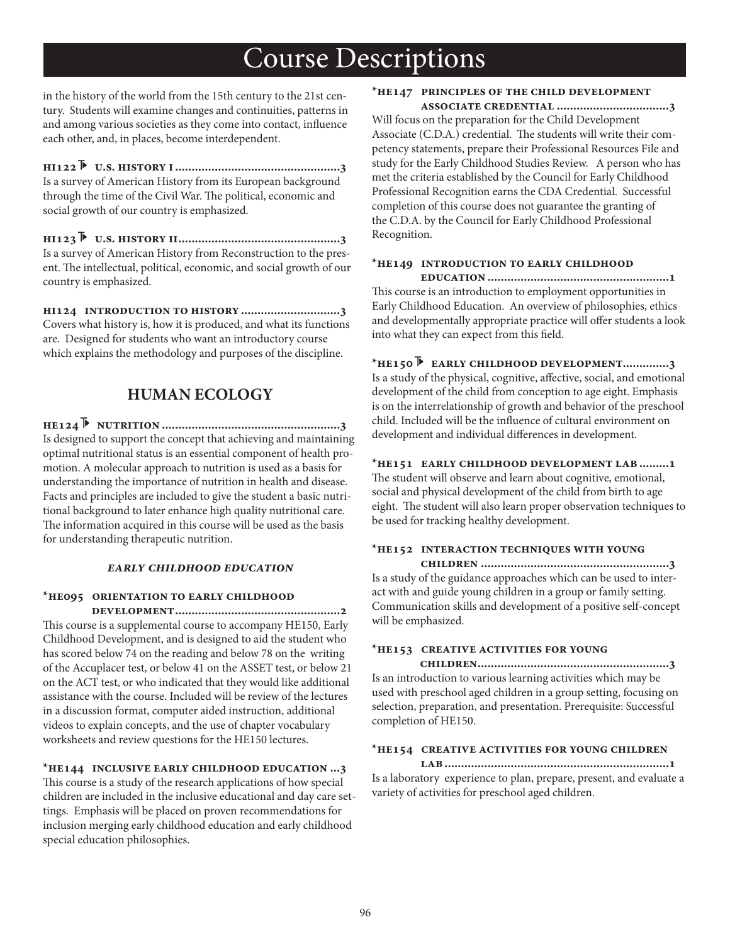in the history of the world from the 15th century to the 21st century. Students will examine changes and continuities, patterns in and among various societies as they come into contact, influence each other, and, in places, become interdependent.

**hi122 u.s. history i..................................................3** Is a survey of American History from its European background through the time of the Civil War. The political, economic and social growth of our country is emphasized.

**hi123 u.s. history ii.................................................3** Is a survey of American History from Reconstruction to the present. The intellectual, political, economic, and social growth of our country is emphasized.

**hi124 introduction to history ..............................3** Covers what history is, how it is produced, and what its functions are. Designed for students who want an introductory course which explains the methodology and purposes of the discipline.

### **HUMAN ECOLOGY**

**he124 nutrition ......................................................3** Is designed to support the concept that achieving and maintaining optimal nutritional status is an essential component of health promotion. A molecular approach to nutrition is used as a basis for understanding the importance of nutrition in health and disease. Facts and principles are included to give the student a basic nutritional background to later enhance high quality nutritional care. The information acquired in this course will be used as the basis for understanding therapeutic nutrition.

#### **early childhood education**

## **\*he095 orientation to early childhood**

 **development..................................................2** This course is a supplemental course to accompany HE150, Early Childhood Development, and is designed to aid the student who has scored below 74 on the reading and below 78 on the writing of the Accuplacer test, or below 41 on the ASSET test, or below 21 on the ACT test, or who indicated that they would like additional assistance with the course. Included will be review of the lectures in a discussion format, computer aided instruction, additional videos to explain concepts, and the use of chapter vocabulary worksheets and review questions for the HE150 lectures.

#### **\*he144 inclusive early childhood education ...3**

This course is a study of the research applications of how special children are included in the inclusive educational and day care settings. Emphasis will be placed on proven recommendations for inclusion merging early childhood education and early childhood special education philosophies.

### **\*he147 principles of the child development**

 **associate credential ..................................3** Will focus on the preparation for the Child Development Associate (C.D.A.) credential. The students will write their competency statements, prepare their Professional Resources File and study for the Early Childhood Studies Review. A person who has met the criteria established by the Council for Early Childhood Professional Recognition earns the CDA Credential. Successful completion of this course does not guarantee the granting of the C.D.A. by the Council for Early Childhood Professional Recognition.

#### **\*he149 introduction to early childhood**

 **education.......................................................1** This course is an introduction to employment opportunities in Early Childhood Education. An overview of philosophies, ethics and developmentally appropriate practice will offer students a look into what they can expect from this field.

**\*he150 early childhood development..............3** Is a study of the physical, cognitive, affective, social, and emotional development of the child from conception to age eight. Emphasis is on the interrelationship of growth and behavior of the preschool child. Included will be the influence of cultural environment on development and individual differences in development.

#### **\*he151 early childhood development lab.........1**

The student will observe and learn about cognitive, emotional, social and physical development of the child from birth to age eight. The student will also learn proper observation techniques to be used for tracking healthy development.

### **\*he152 interaction techniques with young**

 **children .........................................................3** Is a study of the guidance approaches which can be used to interact with and guide young children in a group or family setting. Communication skills and development of a positive self-concept will be emphasized.

#### **\*he153 creative activities for young**

 **children..........................................................3** Is an introduction to various learning activities which may be used with preschool aged children in a group setting, focusing on selection, preparation, and presentation. Prerequisite: Successful completion of HE150.

#### **\*he154 creative activities for young children**

 **lab....................................................................1** Is a laboratory experience to plan, prepare, present, and evaluate a variety of activities for preschool aged children.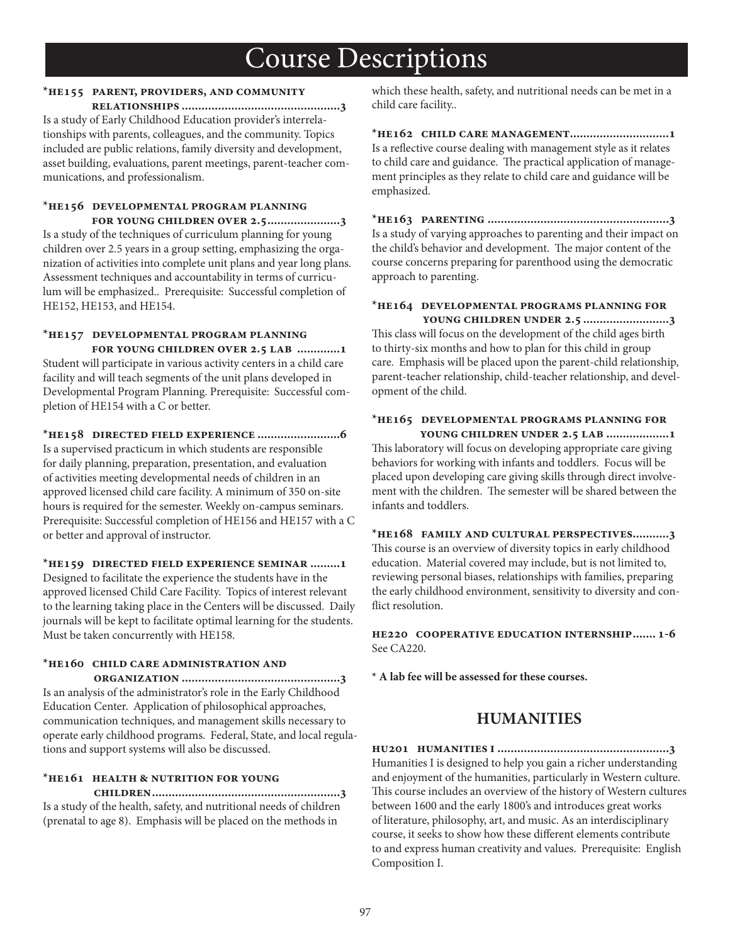### **\*he155 parent, providers, and community**

 **relationships ................................................3** Is a study of Early Childhood Education provider's interrelationships with parents, colleagues, and the community. Topics included are public relations, family diversity and development, asset building, evaluations, parent meetings, parent-teacher communications, and professionalism.

#### **\*he156 developmental program planning for young children over 2.5......................3**

Is a study of the techniques of curriculum planning for young children over 2.5 years in a group setting, emphasizing the organization of activities into complete unit plans and year long plans. Assessment techniques and accountability in terms of curriculum will be emphasized.. Prerequisite: Successful completion of HE152, HE153, and HE154.

### **\*he157 developmental program planning for young children over 2.5 lab .............1**

Student will participate in various activity centers in a child care facility and will teach segments of the unit plans developed in Developmental Program Planning. Prerequisite: Successful completion of HE154 with a C or better.

**\*he158 directed field experience .........................6** Is a supervised practicum in which students are responsible for daily planning, preparation, presentation, and evaluation

of activities meeting developmental needs of children in an approved licensed child care facility. A minimum of 350 on-site hours is required for the semester. Weekly on-campus seminars. Prerequisite: Successful completion of HE156 and HE157 with a C or better and approval of instructor.

#### **\*he159 directed field experience seminar .........1**

Designed to facilitate the experience the students have in the approved licensed Child Care Facility. Topics of interest relevant to the learning taking place in the Centers will be discussed. Daily journals will be kept to facilitate optimal learning for the students. Must be taken concurrently with HE158.

## **\*he160 child care administration and**

 **organization ................................................3** Is an analysis of the administrator's role in the Early Childhood Education Center. Application of philosophical approaches, communication techniques, and management skills necessary to operate early childhood programs. Federal, State, and local regulations and support systems will also be discussed.

### **\*he161 health & nutrition for young**

 **children.........................................................3** Is a study of the health, safety, and nutritional needs of children (prenatal to age 8). Emphasis will be placed on the methods in

which these health, safety, and nutritional needs can be met in a child care facility..

**\*he162 child care management..............................1** Is a reflective course dealing with management style as it relates to child care and guidance. The practical application of management principles as they relate to child care and guidance will be emphasized.

**\*he163 parenting .......................................................3** Is a study of varying approaches to parenting and their impact on the child's behavior and development. The major content of the course concerns preparing for parenthood using the democratic approach to parenting.

#### **\*he164 developmental programs planning for young children under 2.5 ..........................3**

This class will focus on the development of the child ages birth to thirty-six months and how to plan for this child in group care. Emphasis will be placed upon the parent-child relationship, parent-teacher relationship, child-teacher relationship, and development of the child.

#### **\*he165 developmental programs planning for young children under 2.5 lab ...................1**

This laboratory will focus on developing appropriate care giving behaviors for working with infants and toddlers. Focus will be placed upon developing care giving skills through direct involvement with the children. The semester will be shared between the infants and toddlers.

**\*he168 family and cultural perspectives...........3** This course is an overview of diversity topics in early childhood education. Material covered may include, but is not limited to, reviewing personal biases, relationships with families, preparing the early childhood environment, sensitivity to diversity and con flict resolution.

**he220 cooperative education internship....... 1-6** See CA220.

**\* A lab fee will be assessed for these courses.**

## **HUMANITIES**

**hu201 humanities i ....................................................3** Humanities I is designed to help you gain a richer understanding and enjoyment of the humanities, particularly in Western culture. This course includes an overview of the history of Western cultures between 1600 and the early 1800's and introduces great works of literature, philosophy, art, and music. As an interdisciplinary course, it seeks to show how these different elements contribute to and express human creativity and values. Prerequisite: English Composition I.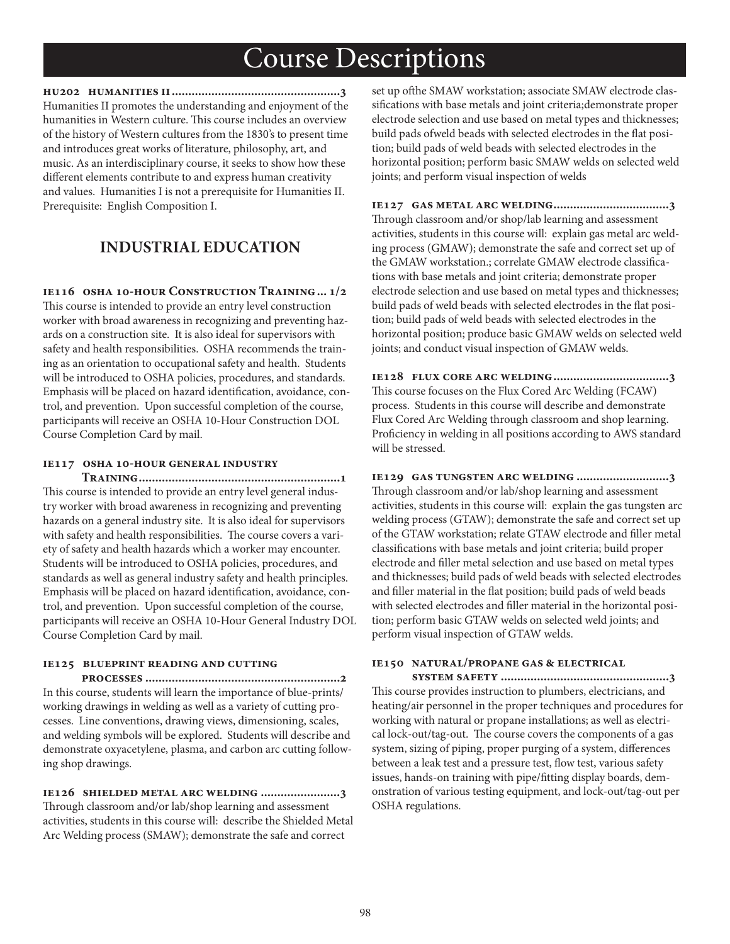**hu202 humanities ii...................................................3** Humanities II promotes the understanding and enjoyment of the humanities in Western culture. This course includes an overview of the history of Western cultures from the 1830's to present time and introduces great works of literature, philosophy, art, and music. As an interdisciplinary course, it seeks to show how these different elements contribute to and express human creativity and values. Humanities I is not a prerequisite for Humanities II. Prerequisite: English Composition I.

## **INDUSTRIAL EDUCATION**

**ie116 osha 10-hour Construction Training... 1/2**

This course is intended to provide an entry level construction worker with broad awareness in recognizing and preventing hazards on a construction site. It is also ideal for supervisors with safety and health responsibilities. OSHA recommends the training as an orientation to occupational safety and health. Students will be introduced to OSHA policies, procedures, and standards. Emphasis will be placed on hazard identification, avoidance, control, and prevention. Upon successful completion of the course, participants will receive an OSHA 10-Hour Construction DOL Course Completion Card by mail.

#### **ie117 osha 10-hour general industry**

 **Training.............................................................1** This course is intended to provide an entry level general industry worker with broad awareness in recognizing and preventing hazards on a general industry site. It is also ideal for supervisors with safety and health responsibilities. The course covers a variety of safety and health hazards which a worker may encounter. Students will be introduced to OSHA policies, procedures, and standards as well as general industry safety and health principles. Emphasis will be placed on hazard identification, avoidance, control, and prevention. Upon successful completion of the course, participants will receive an OSHA 10-Hour General Industry DOL Course Completion Card by mail.

#### **ie125 blueprint reading and cutting**

 **processes ...........................................................2** In this course, students will learn the importance of blue-prints/ working drawings in welding as well as a variety of cutting processes. Line conventions, drawing views, dimensioning, scales, and welding symbols will be explored. Students will describe and demonstrate oxyacetylene, plasma, and carbon arc cutting following shop drawings.

**ie126 shielded metal arc welding ........................3** Through classroom and/or lab/shop learning and assessment activities, students in this course will: describe the Shielded Metal Arc Welding process (SMAW); demonstrate the safe and correct

set up ofthe SMAW workstation; associate SMAW electrode classifications with base metals and joint criteria;demonstrate proper electrode selection and use based on metal types and thicknesses; build pads ofweld beads with selected electrodes in the flat position; build pads of weld beads with selected electrodes in the horizontal position; perform basic SMAW welds on selected weld joints; and perform visual inspection of welds

**ie127 gas metal arc welding...................................3** Through classroom and/or shop/lab learning and assessment activities, students in this course will: explain gas metal arc welding process (GMAW); demonstrate the safe and correct set up of the GMAW workstation.; correlate GMAW electrode classifications with base metals and joint criteria; demonstrate proper electrode selection and use based on metal types and thicknesses; build pads of weld beads with selected electrodes in the flat position; build pads of weld beads with selected electrodes in the horizontal position; produce basic GMAW welds on selected weld joints; and conduct visual inspection of GMAW welds.

**ie128 flux core arc welding...................................3** This course focuses on the Flux Cored Arc Welding (FCAW) process. Students in this course will describe and demonstrate Flux Cored Arc Welding through classroom and shop learning. Proficiency in welding in all positions according to AWS standard will be stressed.

### **ie129 gas tungsten arc welding ............................3** Through classroom and/or lab/shop learning and assessment activities, students in this course will: explain the gas tungsten arc welding process (GTAW); demonstrate the safe and correct set up of the GTAW workstation; relate GTAW electrode and filler metal classifications with base metals and joint criteria; build proper electrode and filler metal selection and use based on metal types and thicknesses; build pads of weld beads with selected electrodes and filler material in the flat position; build pads of weld beads with selected electrodes and filler material in the horizontal position; perform basic GTAW welds on selected weld joints; and perform visual inspection of GTAW welds.

#### **ie150 natural/propane gas & electrical**

 **system safety ...................................................3** This course provides instruction to plumbers, electricians, and heating/air personnel in the proper techniques and procedures for working with natural or propane installations; as well as electrical lock-out/tag-out. The course covers the components of a gas system, sizing of piping, proper purging of a system, differences between a leak test and a pressure test, flow test, various safety issues, hands-on training with pipe/fitting display boards, demonstration of various testing equipment, and lock-out/tag-out per OSHA regulations.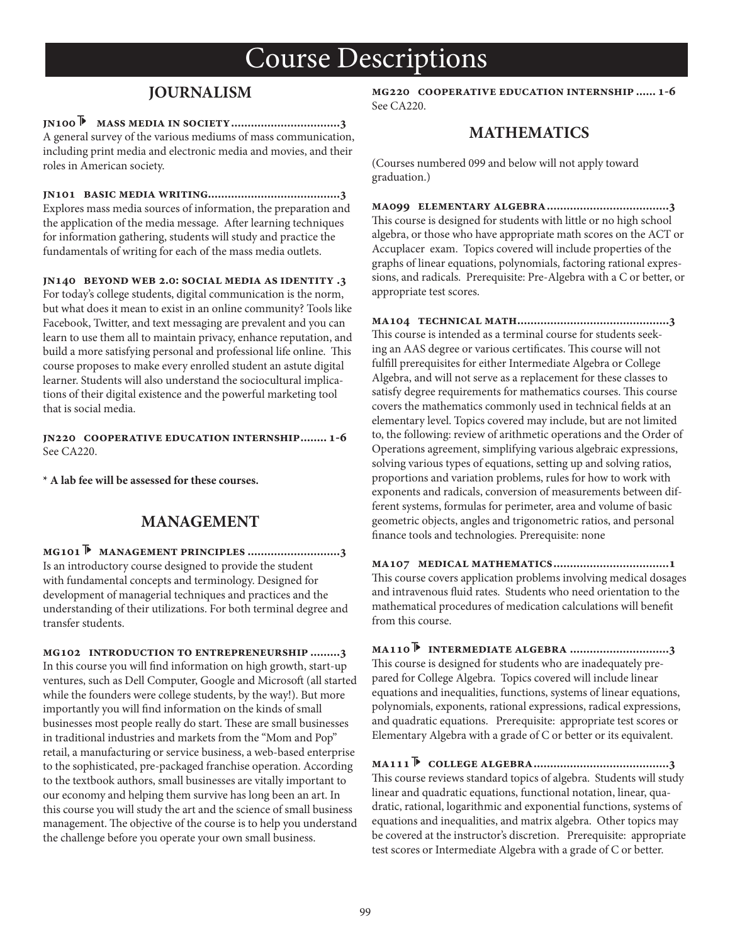## **JOURNALISM**

**jn100 mass media in society.................................3** A general survey of the various mediums of mass communication, including print media and electronic media and movies, and their roles in American society.

**jn101 basic media writing........................................3** Explores mass media sources of information, the preparation and the application of the media message. After learning techniques for information gathering, students will study and practice the fundamentals of writing for each of the mass media outlets.

**jn140 beyond web 2.0: social media as identity .3**

For today's college students, digital communication is the norm, but what does it mean to exist in an online community? Tools like Facebook, Twitter, and text messaging are prevalent and you can learn to use them all to maintain privacy, enhance reputation, and build a more satisfying personal and professional life online. This course proposes to make every enrolled student an astute digital learner. Students will also understand the sociocultural implications of their digital existence and the powerful marketing tool that is social media.

**jn220 cooperative education internship........ 1-6** See CA220.

**\* A lab fee will be assessed for these courses.**

### **MANAGEMENT**

**mg101 management principles ............................3** Is an introductory course designed to provide the student with fundamental concepts and terminology. Designed for development of managerial techniques and practices and the understanding of their utilizations. For both terminal degree and transfer students.

**mg102 introduction to entrepreneurship .........3** In this course you will find information on high growth, start-up ventures, such as Dell Computer, Google and Microsoft (all started while the founders were college students, by the way!). But more importantly you will find information on the kinds of small businesses most people really do start. These are small businesses in traditional industries and markets from the "Mom and Pop" retail, a manufacturing or service business, a web-based enterprise to the sophisticated, pre-packaged franchise operation. According to the textbook authors, small businesses are vitally important to our economy and helping them survive has long been an art. In this course you will study the art and the science of small business management. The objective of the course is to help you understand the challenge before you operate your own small business.

**mg220 cooperative education internship ...... 1-6** See CA220.

### **MATHEMATICS**

(Courses numbered 099 and below will not apply toward graduation.)

**ma099 elementary algebra.....................................3** This course is designed for students with little or no high school algebra, or those who have appropriate math scores on the ACT or Accuplacer exam. Topics covered will include properties of the graphs of linear equations, polynomials, factoring rational expressions, and radicals. Prerequisite: Pre-Algebra with a C or better, or appropriate test scores.

**ma104 technical math..............................................3** This course is intended as a terminal course for students seeking an AAS degree or various certificates. This course will not fulfill prerequisites for either Intermediate Algebra or College Algebra, and will not serve as a replacement for these classes to satisfy degree requirements for mathematics courses. This course covers the mathematics commonly used in technical fields at an elementary level. Topics covered may include, but are not limited to, the following: review of arithmetic operations and the Order of Operations agreement, simplifying various algebraic expressions, solving various types of equations, setting up and solving ratios, proportions and variation problems, rules for how to work with exponents and radicals, conversion of measurements between different systems, formulas for perimeter, area and volume of basic geometric objects, angles and trigonometric ratios, and personal finance tools and technologies. Prerequisite: none

**ma107 medical mathematics...................................1** This course covers application problems involving medical dosages and intravenous fluid rates. Students who need orientation to the mathematical procedures of medication calculations will benefit from this course.

**ma110 intermediate algebra ..............................3** This course is designed for students who are inadequately prepared for College Algebra. Topics covered will include linear equations and inequalities, functions, systems of linear equations, polynomials, exponents, rational expressions, radical expressions, and quadratic equations. Prerequisite: appropriate test scores or Elementary Algebra with a grade of C or better or its equivalent.

**ma111 college algebra.........................................3** This course reviews standard topics of algebra. Students will study linear and quadratic equations, functional notation, linear, quadratic, rational, logarithmic and exponential functions, systems of equations and inequalities, and matrix algebra. Other topics may be covered at the instructor's discretion. Prerequisite: appropriate test scores or Intermediate Algebra with a grade of C or better.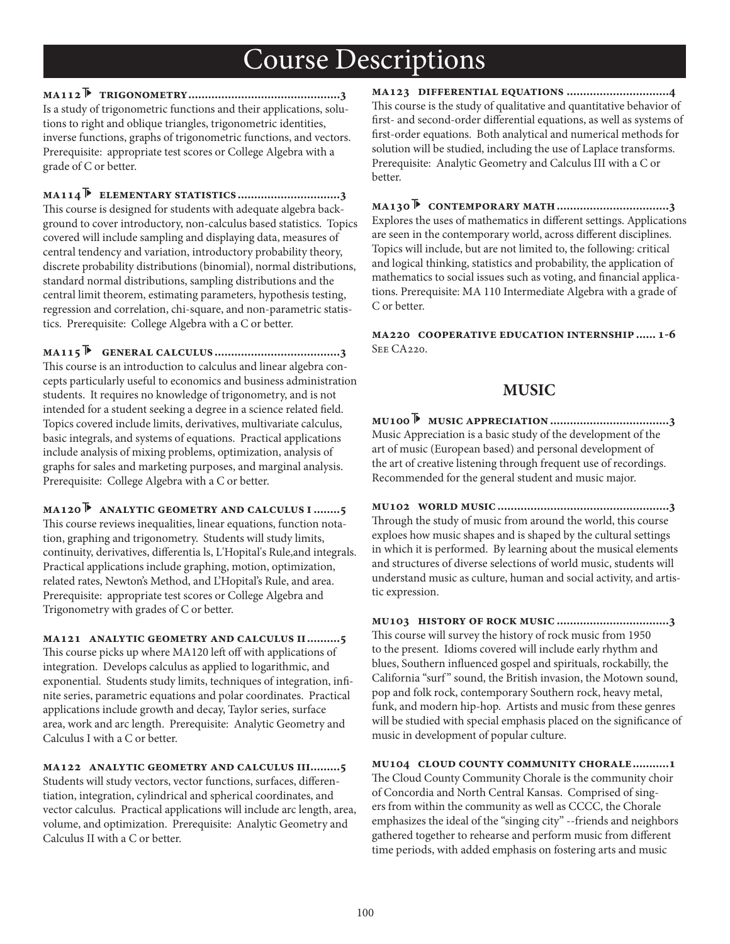**ma112 trigonometry..............................................3** Is a study of trigonometric functions and their applications, solutions to right and oblique triangles, trigonometric identities, inverse functions, graphs of trigonometric functions, and vectors. Prerequisite: appropriate test scores or College Algebra with a grade of C or better.

**ma114 elementary statistics...............................3** This course is designed for students with adequate algebra background to cover introductory, non-calculus based statistics. Topics covered will include sampling and displaying data, measures of central tendency and variation, introductory probability theory, discrete probability distributions (binomial), normal distributions, standard normal distributions, sampling distributions and the central limit theorem, estimating parameters, hypothesis testing, regression and correlation, chi-square, and non-parametric statistics. Prerequisite: College Algebra with a C or better.

**ma115 general calculus ......................................3** This course is an introduction to calculus and linear algebra concepts particularly useful to economics and business administration students. It requires no knowledge of trigonometry, and is not intended for a student seeking a degree in a science related field. Topics covered include limits, derivatives, multivariate calculus, basic integrals, and systems of equations. Practical applications include analysis of mixing problems, optimization, analysis of graphs for sales and marketing purposes, and marginal analysis. Prerequisite: College Algebra with a C or better.

**ma120 analytic geometry and calculus i........5** This course reviews inequalities, linear equations, function notation, graphing and trigonometry. Students will study limits, continuity, derivatives, differentia ls, L'Hopital's Rule, and integrals. Practical applications include graphing, motion, optimization, related rates, Newton's Method, and L'Hopital's Rule, and area. Prerequisite: appropriate test scores or College Algebra and Trigonometry with grades of C or better.

**ma121 analytic geometry and calculus ii..........5** This course picks up where MA120 left off with applications of integration. Develops calculus as applied to logarithmic, and exponential. Students study limits, techniques of integration, infinite series, parametric equations and polar coordinates. Practical applications include growth and decay, Taylor series, surface area, work and arc length. Prerequisite: Analytic Geometry and Calculus I with a C or better.

**ma122 analytic geometry and calculus iii.........5** Students will study vectors, vector functions, surfaces, differentiation, integration, cylindrical and spherical coordinates, and vector calculus. Practical applications will include arc length, area, volume, and optimization. Prerequisite: Analytic Geometry and Calculus II with a C or better.

**ma123 differential equations ...............................4** This course is the study of qualitative and quantitative behavior of first- and second-order differential equations, as well as systems of first-order equations. Both analytical and numerical methods for solution will be studied, including the use of Laplace transforms. Prerequisite: Analytic Geometry and Calculus III with a C or better.

**ma130 contemporary math..................................3** Explores the uses of mathematics in different settings. Applications are seen in the contemporary world, across different disciplines. Topics will include, but are not limited to, the following: critical and logical thinking, statistics and probability, the application of mathematics to social issues such as voting, and financial applications. Prerequisite: MA 110 Intermediate Algebra with a grade of C or better.

**ma220 cooperative education internship...... 1-6** See CA220.

### **MUSIC**

**mu100 music appreciation ....................................3** Music Appreciation is a basic study of the development of the art of music (European based) and personal development of the art of creative listening through frequent use of recordings. Recommended for the general student and music major.

**mu102 world music....................................................3** Through the study of music from around the world, this course exploes how music shapes and is shaped by the cultural settings in which it is performed. By learning about the musical elements and structures of diverse selections of world music, students will understand music as culture, human and social activity, and artistic expression.

**mu103 history of rock music ..................................3** This course will survey the history of rock music from 1950 to the present. Idioms covered will include early rhythm and blues, Southern influenced gospel and spirituals, rockabilly, the California "surf" sound, the British invasion, the Motown sound, pop and folk rock, contemporary Southern rock, heavy metal, funk, and modern hip-hop. Artists and music from these genres will be studied with special emphasis placed on the significance of music in development of popular culture.

**mu104 cloud county community chorale...........1** The Cloud County Community Chorale is the community choir of Concordia and North Central Kansas. Comprised of singers from within the community as well as CCCC, the Chorale emphasizes the ideal of the "singing city" --friends and neighbors gathered together to rehearse and perform music from different time periods, with added emphasis on fostering arts and music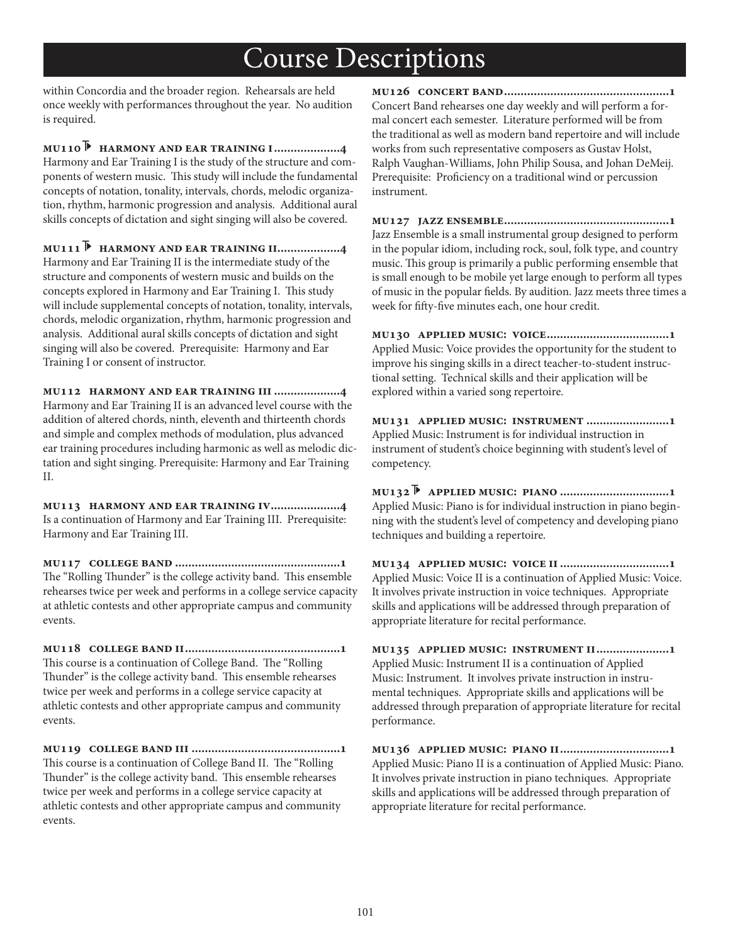within Concordia and the broader region. Rehearsals are held once weekly with performances throughout the year. No audition is required.

**mu110 harmony and ear training i....................4** Harmony and Ear Training I is the study of the structure and components of western music. This study will include the fundamental concepts of notation, tonality, intervals, chords, melodic organization, rhythm, harmonic progression and analysis. Additional aural skills concepts of dictation and sight singing will also be covered.

**mu111 harmony and ear training ii...................4** Harmony and Ear Training II is the intermediate study of the structure and components of western music and builds on the concepts explored in Harmony and Ear Training I. This study will include supplemental concepts of notation, tonality, intervals, chords, melodic organization, rhythm, harmonic progression and analysis. Additional aural skills concepts of dictation and sight singing will also be covered. Prerequisite: Harmony and Ear Training I or consent of instructor.

**mu112 harmony and ear training iii ....................4** Harmony and Ear Training II is an advanced level course with the addition of altered chords, ninth, eleventh and thirteenth chords and simple and complex methods of modulation, plus advanced ear training procedures including harmonic as well as melodic dictation and sight singing. Prerequisite: Harmony and Ear Training II.

**mu113 harmony and ear training iv.....................4** Is a continuation of Harmony and Ear Training III. Prerequisite: Harmony and Ear Training III.

**mu117 college band ..................................................1** The "Rolling Thunder" is the college activity band. This ensemble rehearses twice per week and performs in a college service capacity at athletic contests and other appropriate campus and community events.

**mu118 college band ii...............................................1** This course is a continuation of College Band. The "Rolling Thunder" is the college activity band. This ensemble rehearses twice per week and performs in a college service capacity at athletic contests and other appropriate campus and community events.

**mu119 college band iii .............................................1** This course is a continuation of College Band II. The "Rolling Thunder" is the college activity band. This ensemble rehearses twice per week and performs in a college service capacity at athletic contests and other appropriate campus and community events.

**mu126 concert band..................................................1** Concert Band rehearses one day weekly and will perform a formal concert each semester. Literature performed will be from the traditional as well as modern band repertoire and will include works from such representative composers as Gustav Holst, Ralph Vaughan-Williams, John Philip Sousa, and Johan DeMeij. Prerequisite: Proficiency on a traditional wind or percussion instrument.

**mu127 jazz ensemble..................................................1** Jazz Ensemble is a small instrumental group designed to perform in the popular idiom, including rock, soul, folk type, and country music. This group is primarily a public performing ensemble that is small enough to be mobile yet large enough to perform all types of music in the popular fields. By audition. Jazz meets three times a week for fifty-five minutes each, one hour credit.

**mu130 applied music: voice.....................................1** Applied Music: Voice provides the opportunity for the student to improve his singing skills in a direct teacher-to-student instructional setting. Technical skills and their application will be explored within a varied song repertoire.

**mu131 applied music: instrument .........................1** Applied Music: Instrument is for individual instruction in instrument of student's choice beginning with student's level of competency.

**mu132 applied music: piano .................................1** Applied Music: Piano is for individual instruction in piano beginning with the student's level of competency and developing piano techniques and building a repertoire.

**mu134 applied music: voice ii.................................1** Applied Music: Voice II is a continuation of Applied Music: Voice. It involves private instruction in voice techniques. Appropriate skills and applications will be addressed through preparation of appropriate literature for recital performance.

**mu135 applied music: instrument ii......................1** Applied Music: Instrument II is a continuation of Applied Music: Instrument. It involves private instruction in instrumental techniques. Appropriate skills and applications will be addressed through preparation of appropriate literature for recital performance.

**mu136 applied music: piano ii.................................1** Applied Music: Piano II is a continuation of Applied Music: Piano. It involves private instruction in piano techniques. Appropriate skills and applications will be addressed through preparation of appropriate literature for recital performance.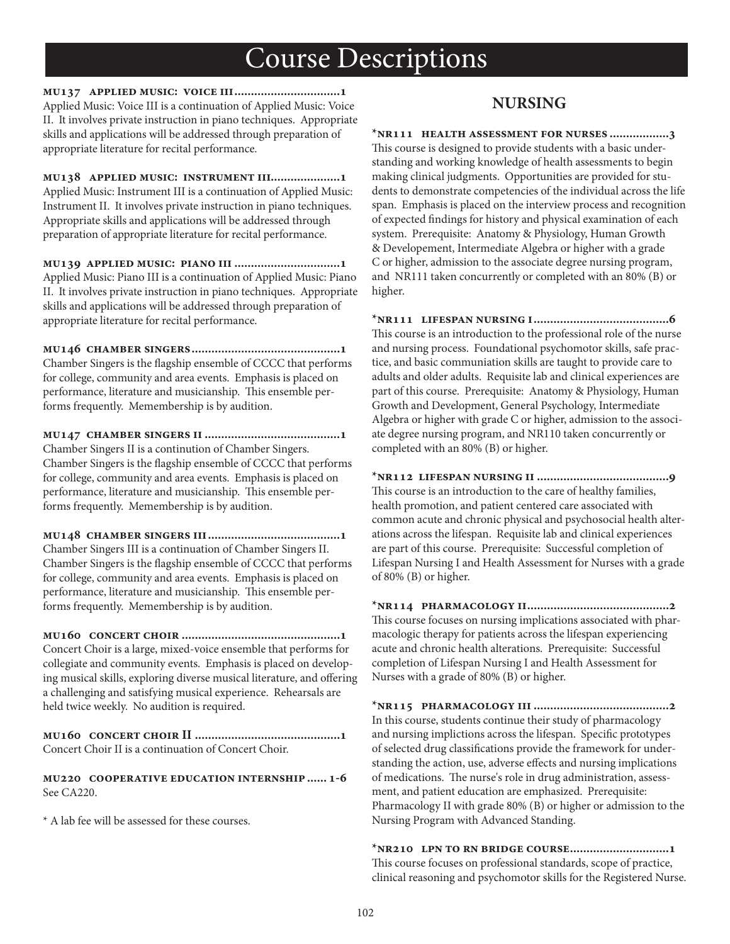**mu137 applied music: voice iii................................1** Applied Music: Voice III is a continuation of Applied Music: Voice II. It involves private instruction in piano techniques. Appropriate skills and applications will be addressed through preparation of appropriate literature for recital performance.

**mu138 applied music: instrument iii.....................1** Applied Music: Instrument III is a continuation of Applied Music: Instrument II. It involves private instruction in piano techniques. Appropriate skills and applications will be addressed through preparation of appropriate literature for recital performance.

**mu139 applied music: piano iii ................................1** Applied Music: Piano III is a continuation of Applied Music: Piano II. It involves private instruction in piano techniques. Appropriate skills and applications will be addressed through preparation of appropriate literature for recital performance.

**mu146 chamber singers.............................................1** Chamber Singers is the flagship ensemble of CCCC that performs for college, community and area events. Emphasis is placed on performance, literature and musicianship. This ensemble performs frequently. Memembership is by audition.

**mu147 chamber singers ii .........................................1** Chamber Singers II is a continution of Chamber Singers. Chamber Singers is the flagship ensemble of CCCC that performs for college, community and area events. Emphasis is placed on performance, literature and musicianship. This ensemble performs frequently. Memembership is by audition.

**mu148 chamber singers iii........................................1** Chamber Singers III is a continuation of Chamber Singers II. Chamber Singers is the flagship ensemble of CCCC that performs for college, community and area events. Emphasis is placed on performance, literature and musicianship. This ensemble performs frequently. Memembership is by audition.

**mu160 concert choir ................................................1** Concert Choir is a large, mixed-voice ensemble that performs for collegiate and community events. Emphasis is placed on developing musical skills, exploring diverse musical literature, and offering a challenging and satisfying musical experience. Rehearsals are held twice weekly. No audition is required.

**mu160 concert choir II ............................................1** Concert Choir II is a continuation of Concert Choir.

**mu220 cooperative education internship...... 1-6** See CA220.

\* A lab fee will be assessed for these courses.

## **NURSING**

**\*nr111 health assessment for nurses ..................3**

This course is designed to provide students with a basic understanding and working knowledge of health assessments to begin making clinical judgments. Opportunities are provided for students to demonstrate competencies of the individual across the life span. Emphasis is placed on the interview process and recognition of expected findings for history and physical examination of each system. Prerequisite: Anatomy & Physiology, Human Growth & Developement, Intermediate Algebra or higher with a grade C or higher, admission to the associate degree nursing program, and NR111 taken concurrently or completed with an 80% (B) or higher.

**\*nr111 lifespan nursing i.........................................6** This course is an introduction to the professional role of the nurse and nursing process. Foundational psychomotor skills, safe practice, and basic communiation skills are taught to provide care to adults and older adults. Requisite lab and clinical experiences are part of this course. Prerequisite: Anatomy & Physiology, Human Growth and Development, General Psychology, Intermediate Algebra or higher with grade C or higher, admission to the associate degree nursing program, and NR110 taken concurrently or completed with an 80% (B) or higher.

**\*nr112 lifespan nursing ii ........................................9** This course is an introduction to the care of healthy families, health promotion, and patient centered care associated with common acute and chronic physical and psychosocial health alterations across the lifespan. Requisite lab and clinical experiences are part of this course. Prerequisite: Successful completion of Lifespan Nursing I and Health Assessment for Nurses with a grade of 80% (B) or higher.

**\*nr114 pharmacology ii...........................................2** This course focuses on nursing implications associated with pharmacologic therapy for patients across the lifespan experiencing acute and chronic health alterations. Prerequisite: Successful completion of Lifespan Nursing I and Health Assessment for Nurses with a grade of 80% (B) or higher.

**\*nr115 pharmacology iii .........................................2** In this course, students continue their study of pharmacology and nursing implictions across the lifespan. Specific prototypes of selected drug classifications provide the framework for understanding the action, use, adverse effects and nursing implications of medications. The nurse's role in drug administration, assessment, and patient education are emphasized. Prerequisite: Pharmacology II with grade 80% (B) or higher or admission to the Nursing Program with Advanced Standing.

**\*nr210 lpn to rn bridge course..............................1** This course focuses on professional standards, scope of practice, clinical reasoning and psychomotor skills for the Registered Nurse.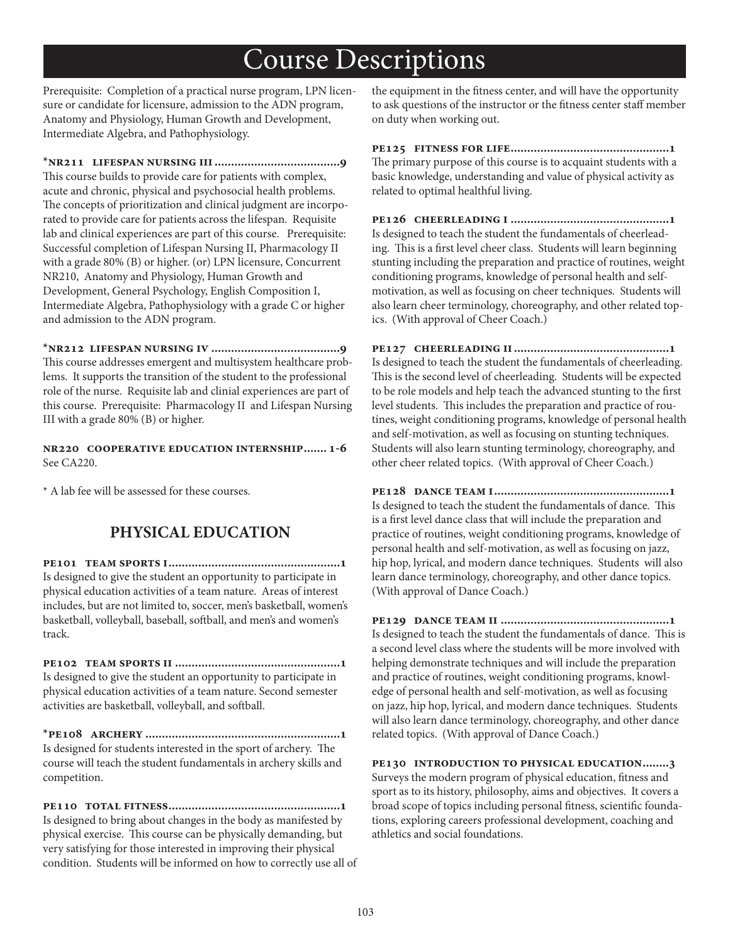Prerequisite: Completion of a practical nurse program, LPN licensure or candidate for licensure, admission to the ADN program, Anatomy and Physiology, Human Growth and Development, Intermediate Algebra, and Pathophysiology.

**\*nr211 lifespan nursing iii......................................9** This course builds to provide care for patients with complex, acute and chronic, physical and psychosocial health problems. The concepts of prioritization and clinical judgment are incorporated to provide care for patients across the lifespan. Requisite lab and clinical experiences are part of this course. Prerequisite: Successful completion of Lifespan Nursing II, Pharmacology II with a grade 80% (B) or higher. (or) LPN licensure, Concurrent NR210, Anatomy and Physiology, Human Growth and Development, General Psychology, English Composition I, Intermediate Algebra, Pathophysiology with a grade C or higher and admission to the ADN program.

**\*nr212 lifespan nursing iv .......................................9** This course addresses emergent and multisystem healthcare problems. It supports the transition of the student to the professional role of the nurse. Requisite lab and clinial experiences are part of this course. Prerequisite: Pharmacology II and Lifespan Nursing III with a grade 80% (B) or higher.

**nr220 cooperative education internship....... 1-6** See CA220.

\* A lab fee will be assessed for these courses.

## **PHYSICAL EDUCATION**

**pe101 team sports i....................................................1** Is designed to give the student an opportunity to participate in physical education activities of a team nature. Areas of interest includes, but are not limited to, soccer, men's basketball, women's basketball, volleyball, baseball, softball, and men's and women's track.

**pe102 team sports ii ..................................................1** Is designed to give the student an opportunity to participate in physical education activities of a team nature. Second semester activities are basketball, volleyball, and softball.

**\*pe108 archery ...........................................................1** Is designed for students interested in the sport of archery. The course will teach the student fundamentals in archery skills and competition.

**pe110 total fitness....................................................1** Is designed to bring about changes in the body as manifested by physical exercise. This course can be physically demanding, but very satisfying for those interested in improving their physical condition. Students will be informed on how to correctly use all of the equipment in the fitness center, and will have the opportunity to ask questions of the instructor or the fitness center staff member on duty when working out.

**pe125 fitness for life................................................1** The primary purpose of this course is to acquaint students with a basic knowledge, understanding and value of physical activity as related to optimal healthful living.

**pe126 cheerleading i ................................................1** Is designed to teach the student the fundamentals of cheerleading. This is a first level cheer class. Students will learn beginning stunting including the preparation and practice of routines, weight conditioning programs, knowledge of personal health and selfmotivation, as well as focusing on cheer techniques. Students will also learn cheer terminology, choreography, and other related topics. (With approval of Cheer Coach.)

**pe127 cheerleading ii...............................................1** Is designed to teach the student the fundamentals of cheerleading. This is the second level of cheerleading. Students will be expected to be role models and help teach the advanced stunting to the first level students. This includes the preparation and practice of routines, weight conditioning programs, knowledge of personal health and self-motivation, as well as focusing on stunting techniques. Students will also learn stunting terminology, choreography, and other cheer related topics. (With approval of Cheer Coach.)

**pe128 dance team i.....................................................1** Is designed to teach the student the fundamentals of dance. This is a first level dance class that will include the preparation and practice of routines, weight conditioning programs, knowledge of personal health and self-motivation, as well as focusing on jazz, hip hop, lyrical, and modern dance techniques. Students will also learn dance terminology, choreography, and other dance topics. (With approval of Dance Coach.)

**pe129 dance team ii ...................................................1** Is designed to teach the student the fundamentals of dance. This is a second level class where the students will be more involved with helping demonstrate techniques and will include the preparation and practice of routines, weight conditioning programs, knowledge of personal health and self-motivation, as well as focusing on jazz, hip hop, lyrical, and modern dance techniques. Students will also learn dance terminology, choreography, and other dance related topics. (With approval of Dance Coach.)

**pe130 introduction to physical education........3** Surveys the modern program of physical education, fitness and sport as to its history, philosophy, aims and objectives. It covers a broad scope of topics including personal fitness, scientific foundations, exploring careers professional development, coaching and athletics and social foundations.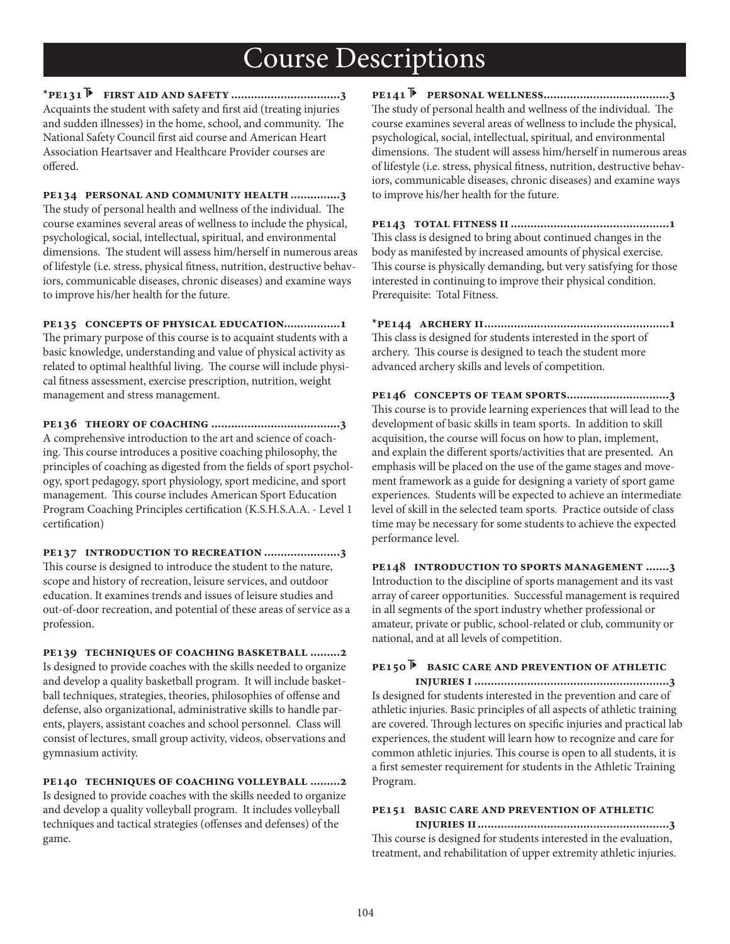**\*pe131 first aid and safety .................................3** Acquaints the student with safety and first aid (treating injuries and sudden illnesses) in the home, school, and community. The National Safety Council first aid course and American Heart Association Heartsaver and Healthcare Provider courses are offered

**pe134 personal and community health...............3** The study of personal health and wellness of the individual. The course examines several areas of wellness to include the physical, psychological, social, intellectual, spiritual, and environmental dimensions. The student will assess him/herself in numerous areas of lifestyle (i.e. stress, physical fitness, nutrition, destructive behaviors, communicable diseases, chronic diseases) and examine ways to improve his/her health for the future.

**pe135 concepts of physical education.................1** The primary purpose of this course is to acquaint students with a basic knowledge, understanding and value of physical activity as related to optimal healthful living. The course will include physical fitness assessment, exercise prescription, nutrition, weight management and stress management.

**pe136 theory of coaching .......................................3** A comprehensive introduction to the art and science of coaching. This course introduces a positive coaching philosophy, the principles of coaching as digested from the fields of sport psychology, sport pedagogy, sport physiology, sport medicine, and sport management. This course includes American Sport Education Program Coaching Principles certification (K.S.H.S.A.A. - Level 1 certification)

**pe137 introduction to recreation .......................3** This course is designed to introduce the student to the nature, scope and history of recreation, leisure services, and outdoor education. It examines trends and issues of leisure studies and out-of-door recreation, and potential of these areas of service as a profession.

**pe139 techniques of coaching basketball .........2** Is designed to provide coaches with the skills needed to organize and develop a quality basketball program. It will include basketball techniques, strategies, theories, philosophies of offense and defense, also organizational, administrative skills to handle parents, players, assistant coaches and school personnel. Class will consist of lectures, small group activity, videos, observations and gymnasium activity.

**pe140 techniques of coaching volleyball .........2** Is designed to provide coaches with the skills needed to organize and develop a quality volleyball program. It includes volleyball techniques and tactical strategies (offenses and defenses) of the game.

**pe141 personal wellness......................................3** The study of personal health and wellness of the individual. The course examines several areas of wellness to include the physical, psychological, social, intellectual, spiritual, and environmental dimensions. The student will assess him/herself in numerous areas of lifestyle (i.e. stress, physical fitness, nutrition, destructive behaviors, communicable diseases, chronic diseases) and examine ways to improve his/her health for the future.

**pe143 total fitness ii................................................1** This class is designed to bring about continued changes in the body as manifested by increased amounts of physical exercise. This course is physically demanding, but very satisfying for those interested in continuing to improve their physical condition. Prerequisite: Total Fitness.

**\*pe144 archery ii........................................................1** This class is designed for students interested in the sport of archery. This course is designed to teach the student more advanced archery skills and levels of competition.

**pe146 concepts of team sports...............................3** This course is to provide learning experiences that will lead to the development of basic skills in team sports. In addition to skill acquisition, the course will focus on how to plan, implement, and explain the different sports/activities that are presented. An emphasis will be placed on the use of the game stages and movement framework as a guide for designing a variety of sport game experiences. Students will be expected to achieve an intermediate level of skill in the selected team sports. Practice outside of class time may be necessary for some students to achieve the expected performance level.

**pe148 introduction to sports management .......3** Introduction to the discipline of sports management and its vast array of career opportunities. Successful management is required in all segments of the sport industry whether professional or amateur, private or public, school-related or club, community or national, and at all levels of competition.

### **pe150 basic care and prevention of athletic**

 **injuries i ...........................................................3** Is designed for students interested in the prevention and care of athletic injuries. Basic principles of all aspects of athletic training are covered. Through lectures on specific injuries and practical lab experiences, the student will learn how to recognize and care for common athletic injuries. This course is open to all students, it is a first semester requirement for students in the Athletic Training Program.

#### **pe151 basic care and prevention of athletic**

 **injuries ii..........................................................3** This course is designed for students interested in the evaluation, treatment, and rehabilitation of upper extremity athletic injuries.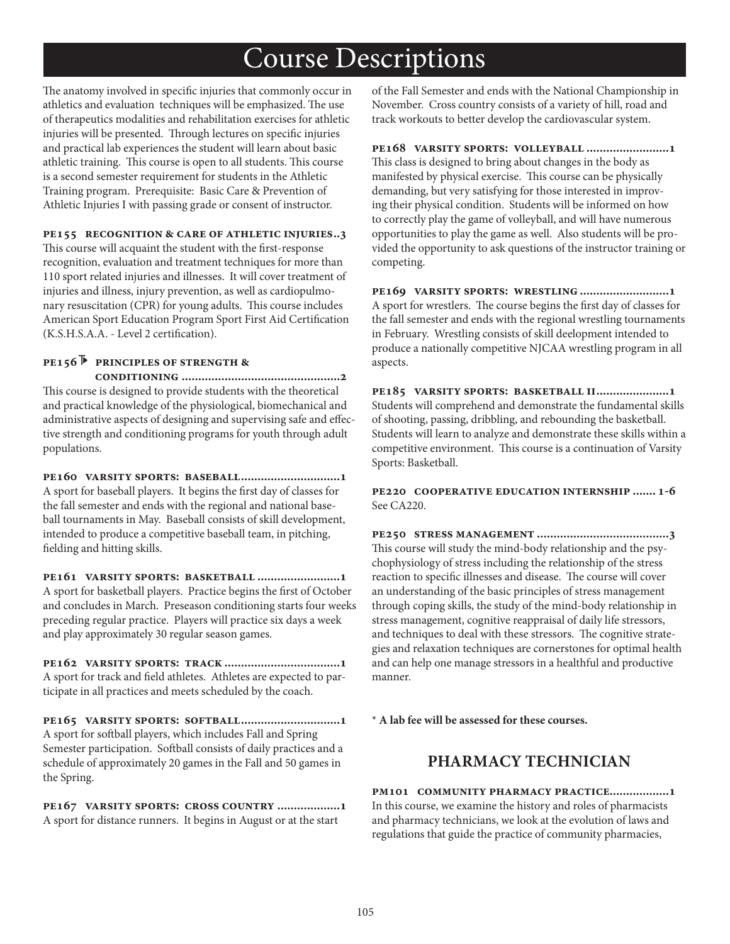The anatomy involved in specific injuries that commonly occur in athletics and evaluation techniques will be emphasized. The use of therapeutics modalities and rehabilitation exercises for athletic injuries will be presented. Through lectures on specific injuries and practical lab experiences the student will learn about basic athletic training. This course is open to all students. This course is a second semester requirement for students in the Athletic Training program. Prerequisite: Basic Care & Prevention of Athletic Injuries I with passing grade or consent of instructor.

#### **pe155 recognition & care of athletic injuries..3**

This course will acquaint the student with the first-response recognition, evaluation and treatment techniques for more than 110 sport related injuries and illnesses. It will cover treatment of injuries and illness, injury prevention, as well as cardiopulmonary resuscitation (CPR) for young adults. This course includes American Sport Education Program Sport First Aid Certification (K.S.H.S.A.A. - Level 2 certification).

#### **pe156 principles of strength & conditioning ................................................2**

This course is designed to provide students with the theoretical and practical knowledge of the physiological, biomechanical and administrative aspects of designing and supervising safe and effective strength and conditioning programs for youth through adult populations.

**pe160 varsity sports: baseball..............................1** A sport for baseball players. It begins the first day of classes for the fall semester and ends with the regional and national baseball tournaments in May. Baseball consists of skill development, intended to produce a competitive baseball team, in pitching, fielding and hitting skills.

**pe161 varsity sports: basketball .........................1** A sport for basketball players. Practice begins the first of October and concludes in March. Preseason conditioning starts four weeks preceding regular practice. Players will practice six days a week and play approximately 30 regular season games.

**pe162 varsity sports: track ...................................1** A sport for track and field athletes. Athletes are expected to participate in all practices and meets scheduled by the coach.

**pe165 varsity sports: softball..............................1** A sport for softball players, which includes Fall and Spring Semester participation. Softball consists of daily practices and a schedule of approximately 20 games in the Fall and 50 games in the Spring.

**pe167 varsity sports: cross country ...................1** A sport for distance runners. It begins in August or at the start

of the Fall Semester and ends with the National Championship in November. Cross country consists of a variety of hill, road and track workouts to better develop the cardiovascular system.

**pe168 varsity sports: volleyball .........................1** This class is designed to bring about changes in the body as manifested by physical exercise. This course can be physically demanding, but very satisfying for those interested in improving their physical condition. Students will be informed on how to correctly play the game of volleyball, and will have numerous opportunities to play the game as well. Also students will be provided the opportunity to ask questions of the instructor training or competing.

**pe169 varsity sports: wrestling ...........................1** A sport for wrestlers. The course begins the first day of classes for the fall semester and ends with the regional wrestling tournaments in February. Wrestling consists of skill deelopment intended to produce a nationally competitive NJCAA wrestling program in all aspects.

**pe185 varsity sports: basketball ii......................1** Students will comprehend and demonstrate the fundamental skills of shooting, passing, dribbling, and rebounding the basketball. Students will learn to analyze and demonstrate these skills within a competitive environment. This course is a continuation of Varsity Sports: Basketball.

**pe220 cooperative education internship ....... 1-6** See CA220.

**pe250 stress management ........................................3** This course will study the mind-body relationship and the psychophysiology of stress including the relationship of the stress reaction to specific illnesses and disease. The course will cover an understanding of the basic principles of stress management through coping skills, the study of the mind-body relationship in stress management, cognitive reappraisal of daily life stressors, and techniques to deal with these stressors. The cognitive strategies and relaxation techniques are cornerstones for optimal health and can help one manage stressors in a healthful and productive manner.

\* **A lab fee will be assessed for these courses.**

## **PHARMACY TECHNICIAN**

**pm101 community pharmacy practice..................1** In this course, we examine the history and roles of pharmacists and pharmacy technicians, we look at the evolution of laws and regulations that guide the practice of community pharmacies,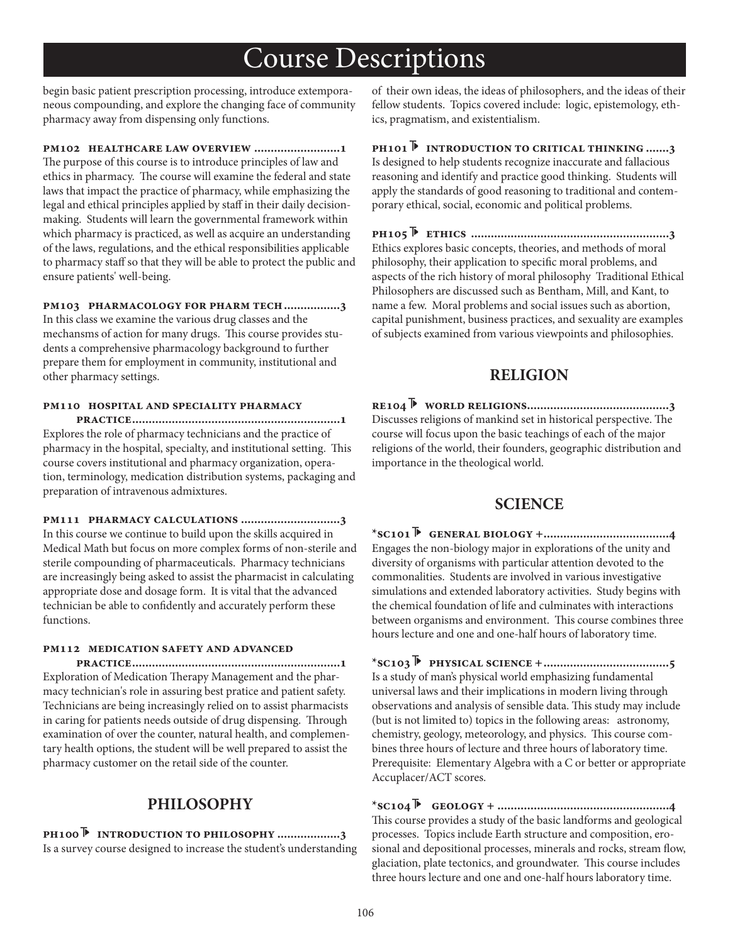begin basic patient prescription processing, introduce extemporaneous compounding, and explore the changing face of community pharmacy away from dispensing only functions.

**pm102 healthcare law overview ..........................1**

The purpose of this course is to introduce principles of law and ethics in pharmacy. The course will examine the federal and state laws that impact the practice of pharmacy, while emphasizing the legal and ethical principles applied by staff in their daily decisionmaking. Students will learn the governmental framework within which pharmacy is practiced, as well as acquire an understanding of the laws, regulations, and the ethical responsibilities applicable to pharmacy staff so that they will be able to protect the public and ensure patients' well-being.

**pm103 pharmacology for pharm tech.................3**

In this class we examine the various drug classes and the mechansms of action for many drugs. This course provides students a comprehensive pharmacology background to further prepare them for employment in community, institutional and other pharmacy settings.

#### **pm110 hospital and speciality pharmacy**

 **practice...............................................................1** Explores the role of pharmacy technicians and the practice of pharmacy in the hospital, specialty, and institutional setting. This course covers institutional and pharmacy organization, operation, terminology, medication distribution systems, packaging and preparation of intravenous admixtures.

**pm111 pharmacy calculations ..............................3** In this course we continue to build upon the skills acquired in Medical Math but focus on more complex forms of non-sterile and sterile compounding of pharmaceuticals. Pharmacy technicians are increasingly being asked to assist the pharmacist in calculating appropriate dose and dosage form. It is vital that the advanced technician be able to confidently and accurately perform these functions.

### **pm112 medication safety and advanced**

 **practice...............................................................1** Exploration of Medication Therapy Management and the pharmacy technician's role in assuring best pratice and patient safety. Technicians are being increasingly relied on to assist pharmacists in caring for patients needs outside of drug dispensing. Through examination of over the counter, natural health, and complementary health options, the student will be well prepared to assist the pharmacy customer on the retail side of the counter.

## **PHILOSOPHY**

**ph100 introduction to philosophy ...................3** Is a survey course designed to increase the student's understanding of their own ideas, the ideas of philosophers, and the ideas of their fellow students. Topics covered include: logic, epistemology, ethics, pragmatism, and existentialism.

**ph101 introduction to critical thinking .......3** Is designed to help students recognize inaccurate and fallacious reasoning and identify and practice good thinking. Students will apply the standards of good reasoning to traditional and contemporary ethical, social, economic and political problems.

**ph105 ethics ............................................................3** Ethics explores basic concepts, theories, and methods of moral philosophy, their application to specific moral problems, and aspects of the rich history of moral philosophy Traditional Ethical Philosophers are discussed such as Bentham, Mill, and Kant, to name a few. Moral problems and social issues such as abortion, capital punishment, business practices, and sexuality are examples of subjects examined from various viewpoints and philosophies.

## **RELIGION**

**re104 world religions...........................................3** Discusses religions of mankind set in historical perspective. The course will focus upon the basic teachings of each of the major religions of the world, their founders, geographic distribution and importance in the theological world.

## **SCIENCE**

**\*sc101 general biology +......................................4** Engages the non-biology major in explorations of the unity and diversity of organisms with particular attention devoted to the commonalities. Students are involved in various investigative simulations and extended laboratory activities. Study begins with the chemical foundation of life and culminates with interactions between organisms and environment. This course combines three hours lecture and one and one-half hours of laboratory time.

**\*sc103 physical science +......................................5** Is a study of man's physical world emphasizing fundamental universal laws and their implications in modern living through observations and analysis of sensible data. This study may include (but is not limited to) topics in the following areas: astronomy, chemistry, geology, meteorology, and physics. This course combines three hours of lecture and three hours of laboratory time. Prerequisite: Elementary Algebra with a C or better or appropriate Accuplacer/ACT scores.

**\*sc104 geology + ....................................................4** This course provides a study of the basic landforms and geological processes. Topics include Earth structure and composition, erosional and depositional processes, minerals and rocks, stream flow, glaciation, plate tectonics, and groundwater. This course includes three hours lecture and one and one-half hours laboratory time.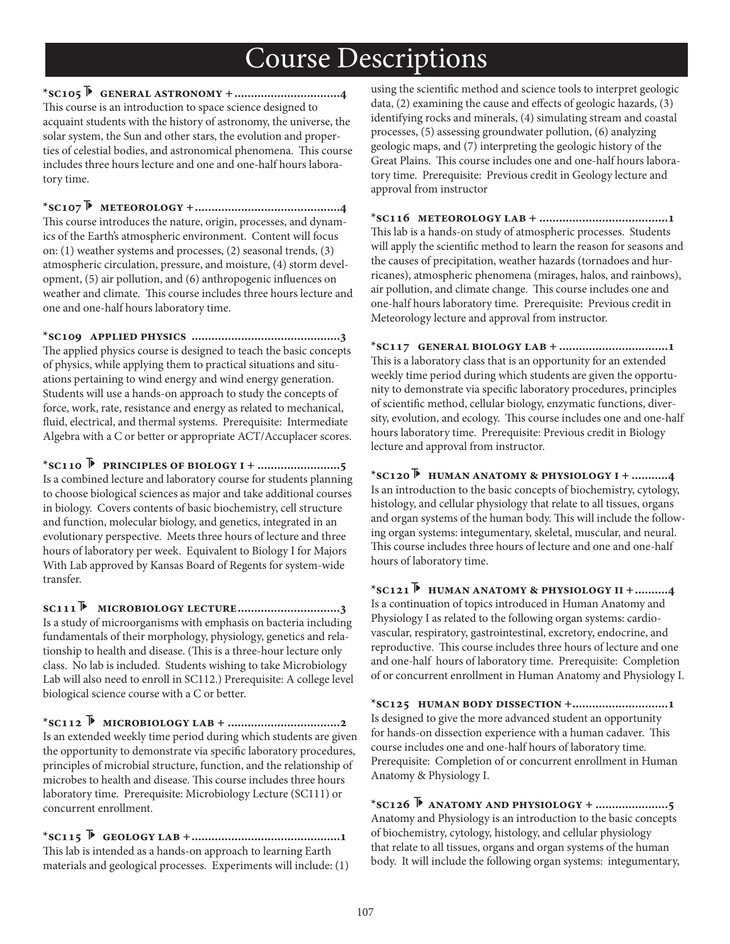**\*sc105 general astronomy +................................4** This course is an introduction to space science designed to acquaint students with the history of astronomy, the universe, the solar system, the Sun and other stars, the evolution and properties of celestial bodies, and astronomical phenomena. This course includes three hours lecture and one and one-half hours laboratory time.

**\*sc107 meteorology +............................................4** This course introduces the nature, origin, processes, and dynamics of the Earth's atmospheric environment. Content will focus on: (1) weather systems and processes, (2) seasonal trends, (3) atmospheric circulation, pressure, and moisture, (4) storm development, (5) air pollution, and (6) anthropogenic influences on weather and climate. This course includes three hours lecture and one and one-half hours laboratory time.

**\*sc109 applied physics .............................................3** The applied physics course is designed to teach the basic concepts of physics, while applying them to practical situations and situations pertaining to wind energy and wind energy generation. Students will use a hands-on approach to study the concepts of force, work, rate, resistance and energy as related to mechanical, fluid, electrical, and thermal systems. Prerequisite: Intermediate Algebra with a C or better or appropriate ACT/Accuplacer scores.

**\*sc110 principles of biology i + .........................5** Is a combined lecture and laboratory course for students planning to choose biological sciences as major and take additional courses in biology. Covers contents of basic biochemistry, cell structure and function, molecular biology, and genetics, integrated in an evolutionary perspective. Meets three hours of lecture and three hours of laboratory per week. Equivalent to Biology I for Majors With Lab approved by Kansas Board of Regents for system-wide transfer.

**sc111 microbiology lecture...............................3** Is a study of microorganisms with emphasis on bacteria including fundamentals of their morphology, physiology, genetics and relationship to health and disease. (This is a three-hour lecture only class. No lab is included. Students wishing to take Microbiology Lab will also need to enroll in SC112.) Prerequisite: A college level biological science course with a C or better.

**\*sc112 microbiology lab + ..................................2** Is an extended weekly time period during which students are given the opportunity to demonstrate via specific laboratory procedures, principles of microbial structure, function, and the relationship of microbes to health and disease. This course includes three hours laboratory time. Prerequisite: Microbiology Lecture (SC111) or concurrent enrollment.

**\*sc115 geology lab +.............................................1** This lab is intended as a hands-on approach to learning Earth materials and geological processes. Experiments will include: (1)

using the scientific method and science tools to interpret geologic data,  $(2)$  examining the cause and effects of geologic hazards,  $(3)$ identifying rocks and minerals, (4) simulating stream and coastal processes, (5) assessing groundwater pollution, (6) analyzing geologic maps, and (7) interpreting the geologic history of the Great Plains. This course includes one and one-half hours laboratory time. Prerequisite: Previous credit in Geology lecture and approval from instructor

**\*sc116 meteorology lab + .......................................1** This lab is a hands-on study of atmospheric processes. Students will apply the scientific method to learn the reason for seasons and the causes of precipitation, weather hazards (tornadoes and hurricanes), atmospheric phenomena (mirages, halos, and rainbows), air pollution, and climate change. This course includes one and one-half hours laboratory time. Prerequisite: Previous credit in Meteorology lecture and approval from instructor.

**\*sc117 general biology lab + .................................1** This is a laboratory class that is an opportunity for an extended weekly time period during which students are given the opportunity to demonstrate via specific laboratory procedures, principles of scientific method, cellular biology, enzymatic functions, diversity, evolution, and ecology. This course includes one and one-half hours laboratory time. Prerequisite: Previous credit in Biology lecture and approval from instructor.

**\*sc120 human anatomy & physiology i + ...........4** Is an introduction to the basic concepts of biochemistry, cytology, histology, and cellular physiology that relate to all tissues, organs and organ systems of the human body. This will include the following organ systems: integumentary, skeletal, muscular, and neural. This course includes three hours of lecture and one and one-half hours of laboratory time.

**\*sc121 human anatomy & physiology ii +..........4** Is a continuation of topics introduced in Human Anatomy and Physiology I as related to the following organ systems: cardiovascular, respiratory, gastrointestinal, excretory, endocrine, and reproductive. This course includes three hours of lecture and one and one-half hours of laboratory time. Prerequisite: Completion of or concurrent enrollment in Human Anatomy and Physiology I.

**\*sc125 human body dissection +.............................1** Is designed to give the more advanced student an opportunity for hands-on dissection experience with a human cadaver. This course includes one and one-half hours of laboratory time. Prerequisite: Completion of or concurrent enrollment in Human Anatomy & Physiology I.

**\*sc126 anatomy and physiology + ......................5** Anatomy and Physiology is an introduction to the basic concepts of biochemistry, cytology, histology, and cellular physiology that relate to all tissues, organs and organ systems of the human body. It will include the following organ systems: integumentary,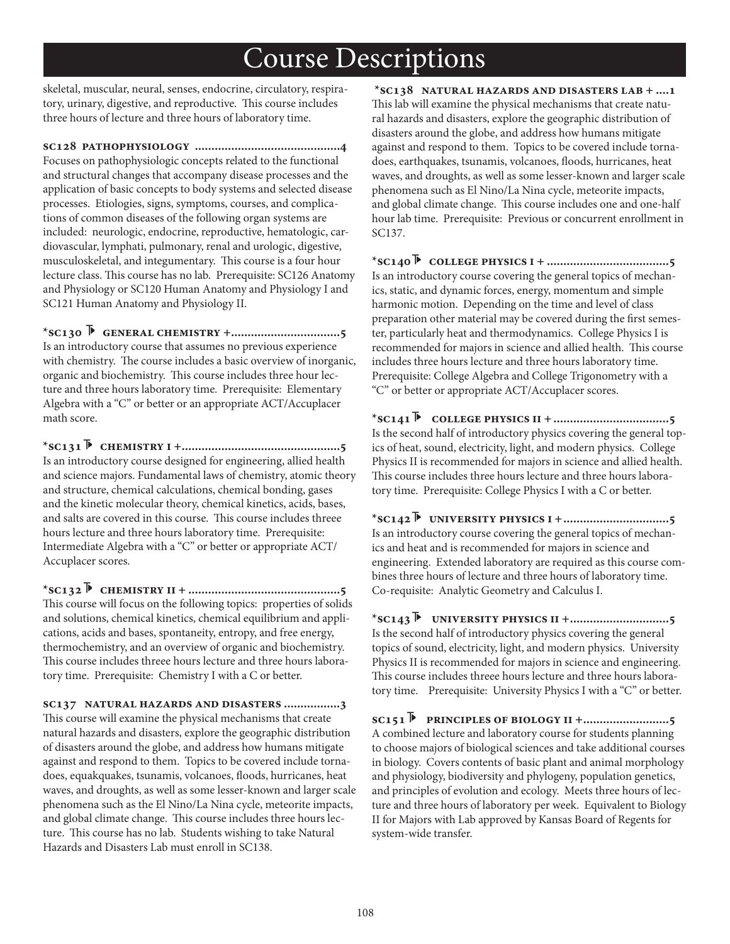skeletal, muscular, neural, senses, endocrine, circulatory, respiratory, urinary, digestive, and reproductive. This course includes three hours of lecture and three hours of laboratory time.

**sc128 pathophysiology ............................................4** Focuses on pathophysiologic concepts related to the functional and structural changes that accompany disease processes and the application of basic concepts to body systems and selected disease processes. Etiologies, signs, symptoms, courses, and complications of common diseases of the following organ systems are included: neurologic, endocrine, reproductive, hematologic, cardiovascular, lymphati, pulmonary, renal and urologic, digestive, musculoskeletal, and integumentary. This course is a four hour lecture class. This course has no lab. Prerequisite: SC126 Anatomy and Physiology or SC120 Human Anatomy and Physiology I and SC121 Human Anatomy and Physiology II.

**\*sc130 general chemistry +.................................5** Is an introductory course that assumes no previous experience with chemistry. The course includes a basic overview of inorganic, organic and biochemistry. This course includes three hour lecture and three hours laboratory time. Prerequisite: Elementary Algebra with a "C" or better or an appropriate ACT/Accuplacer math score.

**\*sc131 chemistry i +................................................5** Is an introductory course designed for engineering, allied health and science majors. Fundamental laws of chemistry, atomic theory and structure, chemical calculations, chemical bonding, gases and the kinetic molecular theory, chemical kinetics, acids, bases, and salts are covered in this course. This course includes threee hours lecture and three hours laboratory time. Prerequisite: Intermediate Algebra with a "C" or better or appropriate ACT/ Accuplacer scores.

**\*sc132 chemistry ii + ..............................................5** This course will focus on the following topics: properties of solids and solutions, chemical kinetics, chemical equilibrium and applications, acids and bases, spontaneity, entropy, and free energy, thermochemistry, and an overview of organic and biochemistry. This course includes threee hours lecture and three hours laboratory time. Prerequisite: Chemistry I with a C or better.

**sc137 natural hazards and disasters .................3** This course will examine the physical mechanisms that create natural hazards and disasters, explore the geographic distribution of disasters around the globe, and address how humans mitigate against and respond to them. Topics to be covered include tornadoes, equakquakes, tsunamis, volcanoes, floods, hurricanes, heat waves, and droughts, as well as some lesser-known and larger scale phenomena such as the El Nino/La Nina cycle, meteorite impacts, and global climate change. This course includes three hours lecture. This course has no lab. Students wishing to take Natural Hazards and Disasters Lab must enroll in SC138.

 **\*sc138 natural hazards and disasters lab + ....1** This lab will examine the physical mechanisms that create natural hazards and disasters, explore the geographic distribution of disasters around the globe, and address how humans mitigate against and respond to them. Topics to be covered include tornadoes, earthquakes, tsunamis, volcanoes, floods, hurricanes, heat waves, and droughts, as well as some lesser-known and larger scale phenomena such as El Nino/La Nina cycle, meteorite impacts, and global climate change. This course includes one and one-half hour lab time. Prerequisite: Previous or concurrent enrollment in SC137.

**\*sc140 college physics i + .....................................5** Is an introductory course covering the general topics of mechanics, static, and dynamic forces, energy, momentum and simple harmonic motion. Depending on the time and level of class preparation other material may be covered during the first semester, particularly heat and thermodynamics. College Physics I is recommended for majors in science and allied health. This course includes three hours lecture and three hours laboratory time. Prerequisite: College Algebra and College Trigonometry with a "C" or better or appropriate ACT/Accuplacer scores.

**\*sc141 college physics ii +...................................5** Is the second half of introductory physics covering the general topics of heat, sound, electricity, light, and modern physics. College Physics II is recommended for majors in science and allied health. This course includes three hours lecture and three hours laboratory time. Prerequisite: College Physics I with a C or better.

**\*sc142 university physics i +................................5** Is an introductory course covering the general topics of mechanics and heat and is recommended for majors in science and engineering. Extended laboratory are required as this course combines three hours of lecture and three hours of laboratory time. Co-requisite: Analytic Geometry and Calculus I.

**\*sc143 university physics ii +..............................5** Is the second half of introductory physics covering the general topics of sound, electricity, light, and modern physics. University Physics II is recommended for majors in science and engineering. This course includes threee hours lecture and three hours laboratory time. Prerequisite: University Physics I with a "C" or better.

**sc151 principles of biology ii +..........................5** A combined lecture and laboratory course for students planning to choose majors of biological sciences and take additional courses in biology. Covers contents of basic plant and animal morphology and physiology, biodiversity and phylogeny, population genetics, and principles of evolution and ecology. Meets three hours of lecture and three hours of laboratory per week. Equivalent to Biology II for Majors with Lab approved by Kansas Board of Regents for system-wide transfer.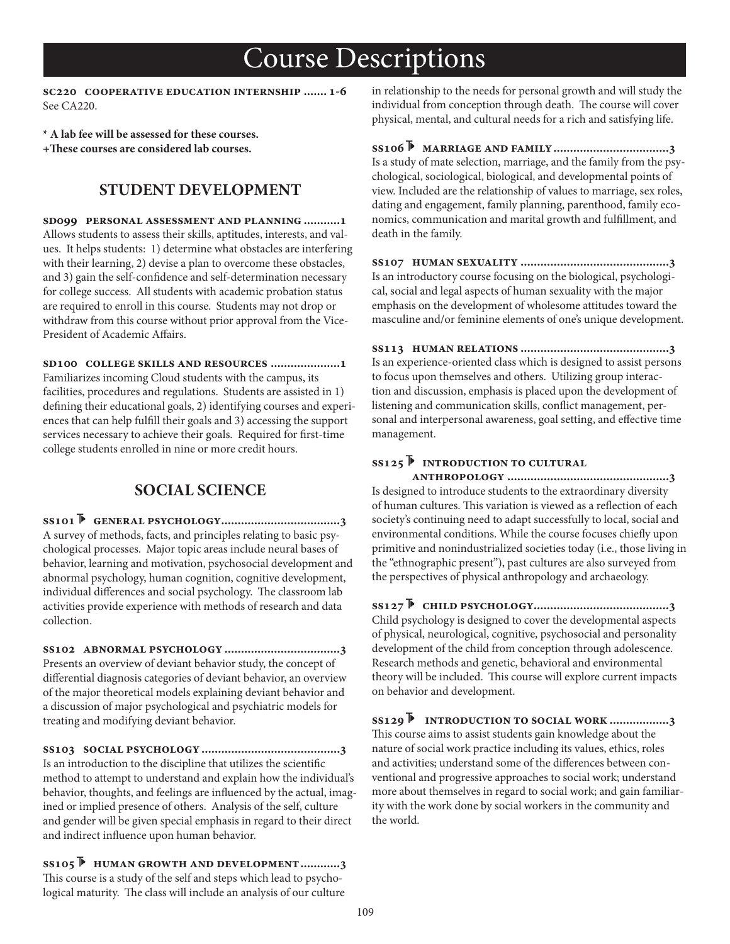**sc220 cooperative education internship ....... 1-6** See CA220.

**\* A lab fee will be assessed for these courses.**

**+3ese courses are considered lab courses.**

## **STUDENT DEVELOPMENT**

**sd099 personal assessment and planning ...........1** Allows students to assess their skills, aptitudes, interests, and values. It helps students: 1) determine what obstacles are interfering with their learning, 2) devise a plan to overcome these obstacles, and 3) gain the self-confidence and self-determination necessary for college success. All students with academic probation status are required to enroll in this course. Students may not drop or withdraw from this course without prior approval from the Vice-President of Academic Affairs.

**sd100 college skills and resources .....................1** Familiarizes incoming Cloud students with the campus, its facilities, procedures and regulations. Students are assisted in 1) defining their educational goals, 2) identifying courses and experiences that can help fulfill their goals and 3) accessing the support services necessary to achieve their goals. Required for first-time college students enrolled in nine or more credit hours.

## **SOCIAL SCIENCE**

**ss101 general psychology....................................3** A survey of methods, facts, and principles relating to basic psychological processes. Major topic areas include neural bases of behavior, learning and motivation, psychosocial development and abnormal psychology, human cognition, cognitive development, individual differences and social psychology. The classroom lab activities provide experience with methods of research and data collection.

**ss102 abnormal psychology ...................................3** Presents an overview of deviant behavior study, the concept of differential diagnosis categories of deviant behavior, an overview of the major theoretical models explaining deviant behavior and a discussion of major psychological and psychiatric models for treating and modifying deviant behavior.

**ss103 social psychology..........................................3** Is an introduction to the discipline that utilizes the scientific method to attempt to understand and explain how the individual's behavior, thoughts, and feelings are influenced by the actual, imagined or implied presence of others. Analysis of the self, culture and gender will be given special emphasis in regard to their direct and indirect influence upon human behavior.

**ss105 human growth and development............3** This course is a study of the self and steps which lead to psychological maturity. The class will include an analysis of our culture

in relationship to the needs for personal growth and will study the individual from conception through death. The course will cover physical, mental, and cultural needs for a rich and satisfying life.

**ss106 marriage and family...................................3** Is a study of mate selection, marriage, and the family from the psychological, sociological, biological, and developmental points of view. Included are the relationship of values to marriage, sex roles, dating and engagement, family planning, parenthood, family economics, communication and marital growth and fulfillment, and death in the family.

**ss107 human sexuality .............................................3** Is an introductory course focusing on the biological, psychological, social and legal aspects of human sexuality with the major emphasis on the development of wholesome attitudes toward the masculine and/or feminine elements of one's unique development.

**ss113 human relations .............................................3** Is an experience-oriented class which is designed to assist persons to focus upon themselves and others. Utilizing group interaction and discussion, emphasis is placed upon the development of listening and communication skills, conflict management, personal and interpersonal awareness, goal setting, and effective time management.

## **ss125 introduction to cultural**

 **anthropology .................................................3** Is designed to introduce students to the extraordinary diversity of human cultures. This variation is viewed as a reflection of each society's continuing need to adapt successfully to local, social and environmental conditions. While the course focuses chiefly upon primitive and nonindustrialized societies today (i.e., those living in the "ethnographic present"), past cultures are also surveyed from the perspectives of physical anthropology and archaeology.

**ss127 child psychology.........................................3** Child psychology is designed to cover the developmental aspects of physical, neurological, cognitive, psychosocial and personality development of the child from conception through adolescence. Research methods and genetic, behavioral and environmental theory will be included. This course will explore current impacts on behavior and development.

**ss129 introduction to social work ..................3** This course aims to assist students gain knowledge about the nature of social work practice including its values, ethics, roles and activities; understand some of the differences between conventional and progressive approaches to social work; understand more about themselves in regard to social work; and gain familiarity with the work done by social workers in the community and the world.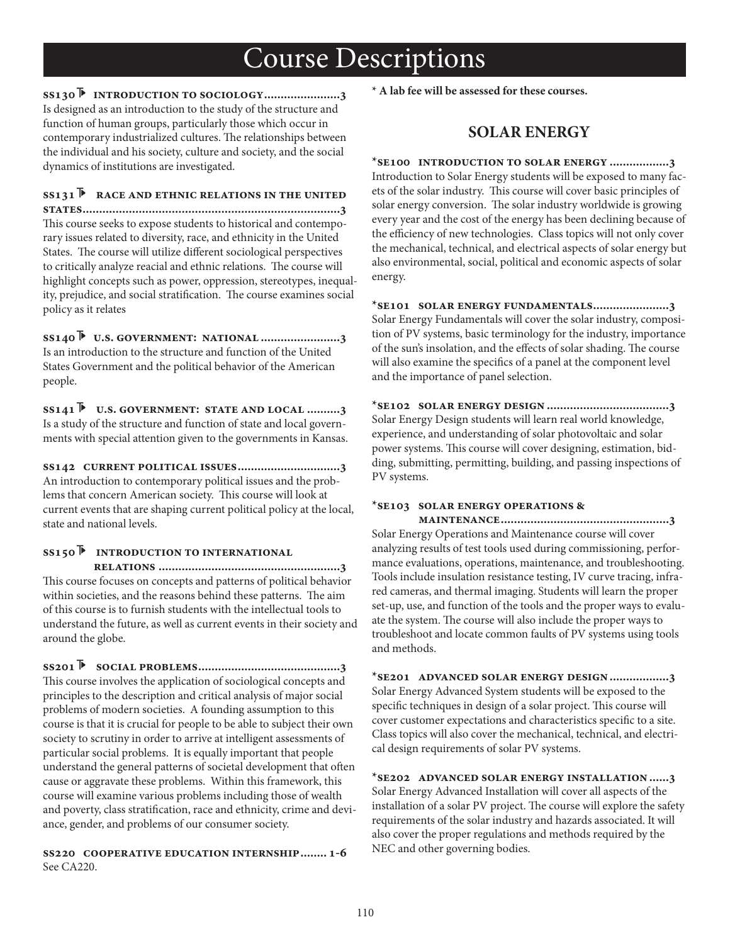**ss130 introduction to sociology.......................3** Is designed as an introduction to the study of the structure and function of human groups, particularly those which occur in contemporary industrialized cultures. The relationships between the individual and his society, culture and society, and the social dynamics of institutions are investigated.

## **ss131 race and ethnic relations in the united**

**states..............................................................................3** This course seeks to expose students to historical and contemporary issues related to diversity, race, and ethnicity in the United States. The course will utilize different sociological perspectives to critically analyze reacial and ethnic relations. The course will highlight concepts such as power, oppression, stereotypes, inequality, prejudice, and social stratification. The course examines social policy as it relates

**ss140 u.s. government: national ........................3** Is an introduction to the structure and function of the United States Government and the political behavior of the American people.

**ss141 u.s. government: state and local ..........3** Is a study of the structure and function of state and local governments with special attention given to the governments in Kansas.

**ss142 current political issues...............................3** An introduction to contemporary political issues and the problems that concern American society. This course will look at current events that are shaping current political policy at the local, state and national levels.

### **ss150 introduction to international**

 **relations .......................................................3** This course focuses on concepts and patterns of political behavior within societies, and the reasons behind these patterns. The aim of this course is to furnish students with the intellectual tools to understand the future, as well as current events in their society and around the globe.

**ss201 social problems...........................................3** This course involves the application of sociological concepts and principles to the description and critical analysis of major social problems of modern societies. A founding assumption to this course is that it is crucial for people to be able to subject their own society to scrutiny in order to arrive at intelligent assessments of particular social problems. It is equally important that people understand the general patterns of societal development that often cause or aggravate these problems. Within this framework, this course will examine various problems including those of wealth and poverty, class stratification, race and ethnicity, crime and deviance, gender, and problems of our consumer society.

**ss220 cooperative education internship........ 1-6** See CA220.

**\* A lab fee will be assessed for these courses.**

### **SOLAR ENERGY**

**\*se100 introduction to solar energy ..................3** Introduction to Solar Energy students will be exposed to many facets of the solar industry. This course will cover basic principles of solar energy conversion. The solar industry worldwide is growing every year and the cost of the energy has been declining because of the efficiency of new technologies. Class topics will not only cover the mechanical, technical, and electrical aspects of solar energy but also environmental, social, political and economic aspects of solar energy.

**\*se101 solar energy fundamentals.......................3** Solar Energy Fundamentals will cover the solar industry, composition of PV systems, basic terminology for the industry, importance of the sun's insolation, and the effects of solar shading. The course will also examine the specifics of a panel at the component level and the importance of panel selection.

**\*se102 solar energy design .....................................3** Solar Energy Design students will learn real world knowledge, experience, and understanding of solar photovoltaic and solar power systems. This course will cover designing, estimation, bidding, submitting, permitting, building, and passing inspections of PV systems.

#### **\*se103 solar energy operations &**

 **maintenance...................................................3** Solar Energy Operations and Maintenance course will cover analyzing results of test tools used during commissioning, performance evaluations, operations, maintenance, and troubleshooting. Tools include insulation resistance testing, IV curve tracing, infrared cameras, and thermal imaging. Students will learn the proper set-up, use, and function of the tools and the proper ways to evaluate the system. The course will also include the proper ways to troubleshoot and locate common faults of PV systems using tools and methods.

**\*se201 advanced solar energy design..................3** Solar Energy Advanced System students will be exposed to the specific techniques in design of a solar project. This course will cover customer expectations and characteristics specific to a site. Class topics will also cover the mechanical, technical, and electrical design requirements of solar PV systems.

**\*se202 advanced solar energy installation......3** Solar Energy Advanced Installation will cover all aspects of the installation of a solar PV project. The course will explore the safety requirements of the solar industry and hazards associated. It will also cover the proper regulations and methods required by the NEC and other governing bodies.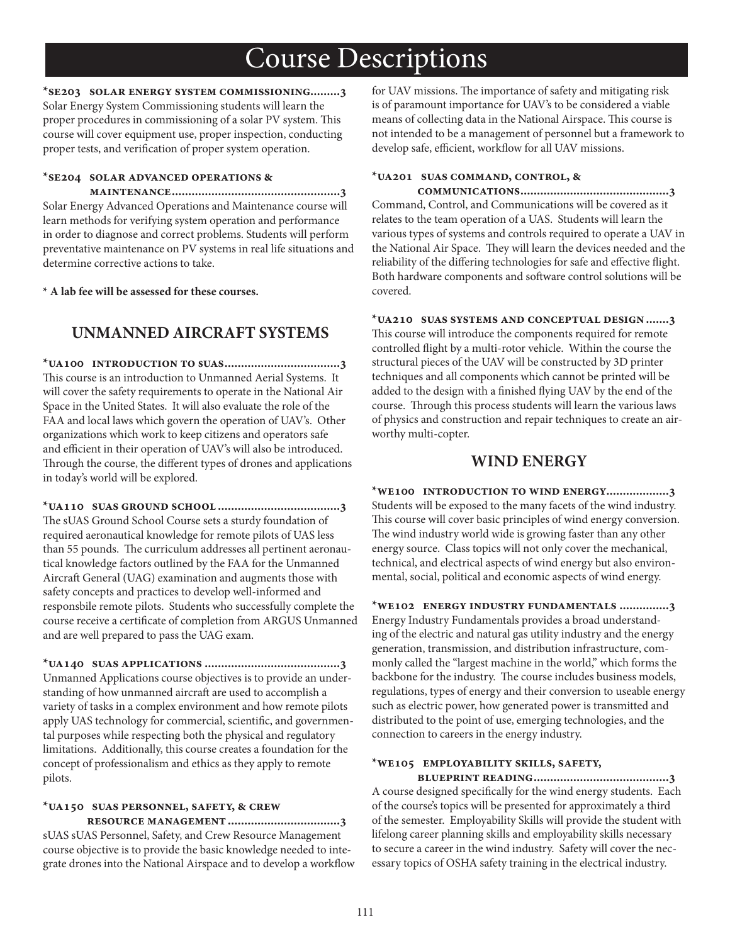**\*se203 solar energy system commissioning.........3** Solar Energy System Commissioning students will learn the proper procedures in commissioning of a solar PV system. This course will cover equipment use, proper inspection, conducting proper tests, and verification of proper system operation.

#### **\*se204 solar advanced operations &**

 **maintenance...................................................3** Solar Energy Advanced Operations and Maintenance course will learn methods for verifying system operation and performance in order to diagnose and correct problems. Students will perform preventative maintenance on PV systems in real life situations and determine corrective actions to take.

**\* A lab fee will be assessed for these courses.**

## **UNMANNED AIRCRAFT SYSTEMS**

**\*ua100 introduction to suas...................................3** This course is an introduction to Unmanned Aerial Systems. It will cover the safety requirements to operate in the National Air Space in the United States. It will also evaluate the role of the FAA and local laws which govern the operation of UAV's. Other organizations which work to keep citizens and operators safe and efficient in their operation of UAV's will also be introduced. Through the course, the different types of drones and applications in today's world will be explored.

**\*ua110 suas ground school .....................................3** The sUAS Ground School Course sets a sturdy foundation of required aeronautical knowledge for remote pilots of UAS less than 55 pounds. The curriculum addresses all pertinent aeronautical knowledge factors outlined by the FAA for the Unmanned Aircraft General (UAG) examination and augments those with safety concepts and practices to develop well-informed and responsbile remote pilots. Students who successfully complete the course receive a certificate of completion from ARGUS Unmanned and are well prepared to pass the UAG exam.

**\*ua140 suas applications .........................................3** Unmanned Applications course objectives is to provide an understanding of how unmanned aircraft are used to accomplish a variety of tasks in a complex environment and how remote pilots apply UAS technology for commercial, scientific, and governmental purposes while respecting both the physical and regulatory limitations. Additionally, this course creates a foundation for the concept of professionalism and ethics as they apply to remote pilots.

## **\*ua150 suas personnel, safety, & crew**

 **resource management ..................................3** sUAS sUAS Personnel, Safety, and Crew Resource Management course objective is to provide the basic knowledge needed to integrate drones into the National Airspace and to develop a workflow for UAV missions. The importance of safety and mitigating risk is of paramount importance for UAV's to be considered a viable means of collecting data in the National Airspace. This course is not intended to be a management of personnel but a framework to develop safe, efficient, workflow for all UAV missions.

### **\*ua201 suas command, control, &**

 **communications.............................................3** Command, Control, and Communications will be covered as it relates to the team operation of a UAS. Students will learn the various types of systems and controls required to operate a UAV in the National Air Space. They will learn the devices needed and the reliability of the differing technologies for safe and effective flight. Both hardware components and software control solutions will be covered.

**\*ua210 suas systems and conceptual design.......3** This course will introduce the components required for remote controlled flight by a multi-rotor vehicle. Within the course the structural pieces of the UAV will be constructed by 3D printer techniques and all components which cannot be printed will be added to the design with a finished flying UAV by the end of the course. Through this process students will learn the various laws of physics and construction and repair techniques to create an airworthy multi-copter.

### **WIND ENERGY**

**\*we100 introduction to wind energy...................3** Students will be exposed to the many facets of the wind industry. This course will cover basic principles of wind energy conversion. The wind industry world wide is growing faster than any other energy source. Class topics will not only cover the mechanical, technical, and electrical aspects of wind energy but also environmental, social, political and economic aspects of wind energy.

**\*we102 energy industry fundamentals ...............3** Energy Industry Fundamentals provides a broad understanding of the electric and natural gas utility industry and the energy generation, transmission, and distribution infrastructure, commonly called the "largest machine in the world," which forms the backbone for the industry. The course includes business models, regulations, types of energy and their conversion to useable energy such as electric power, how generated power is transmitted and distributed to the point of use, emerging technologies, and the connection to careers in the energy industry.

### **\*we105 employability skills, safety,**

 **blueprint reading.........................................3**  A course designed specifically for the wind energy students. Each of the course's topics will be presented for approximately a third of the semester. Employability Skills will provide the student with lifelong career planning skills and employability skills necessary to secure a career in the wind industry. Safety will cover the necessary topics of OSHA safety training in the electrical industry.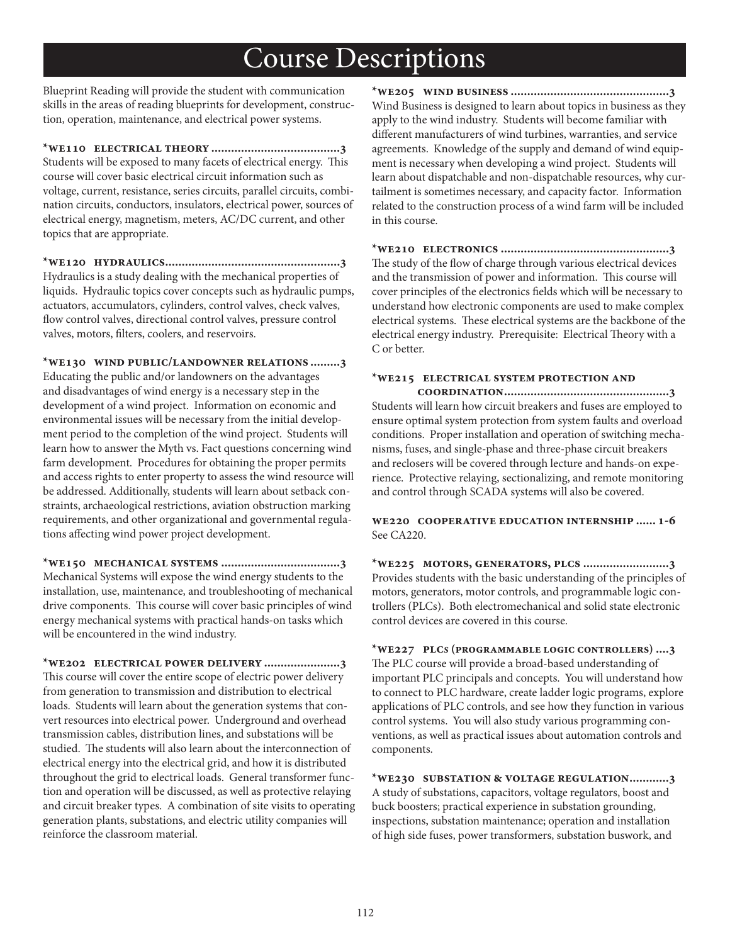Blueprint Reading will provide the student with communication skills in the areas of reading blueprints for development, construction, operation, maintenance, and electrical power systems.

**\*we110 electrical theory .......................................3** Students will be exposed to many facets of electrical energy. This course will cover basic electrical circuit information such as voltage, current, resistance, series circuits, parallel circuits, combination circuits, conductors, insulators, electrical power, sources of electrical energy, magnetism, meters, AC/DC current, and other topics that are appropriate.

**\*we120 hydraulics.....................................................3** Hydraulics is a study dealing with the mechanical properties of liquids. Hydraulic topics cover concepts such as hydraulic pumps, actuators, accumulators, cylinders, control valves, check valves, flow control valves, directional control valves, pressure control valves, motors, filters, coolers, and reservoirs.

**\*we130 wind public/landowner relations .........3** Educating the public and/or landowners on the advantages and disadvantages of wind energy is a necessary step in the development of a wind project. Information on economic and environmental issues will be necessary from the initial development period to the completion of the wind project. Students will learn how to answer the Myth vs. Fact questions concerning wind farm development. Procedures for obtaining the proper permits and access rights to enter property to assess the wind resource will be addressed. Additionally, students will learn about setback constraints, archaeological restrictions, aviation obstruction marking requirements, and other organizational and governmental regulations affecting wind power project development.

**\*we150 mechanical systems ....................................3** Mechanical Systems will expose the wind energy students to the installation, use, maintenance, and troubleshooting of mechanical drive components. This course will cover basic principles of wind energy mechanical systems with practical hands-on tasks which will be encountered in the wind industry.

**\*we202 electrical power delivery .......................3** This course will cover the entire scope of electric power delivery from generation to transmission and distribution to electrical loads. Students will learn about the generation systems that convert resources into electrical power. Underground and overhead transmission cables, distribution lines, and substations will be studied. The students will also learn about the interconnection of electrical energy into the electrical grid, and how it is distributed throughout the grid to electrical loads. General transformer function and operation will be discussed, as well as protective relaying and circuit breaker types. A combination of site visits to operating generation plants, substations, and electric utility companies will reinforce the classroom material.

**\*we205 wind business ................................................3** Wind Business is designed to learn about topics in business as they apply to the wind industry. Students will become familiar with different manufacturers of wind turbines, warranties, and service agreements. Knowledge of the supply and demand of wind equipment is necessary when developing a wind project. Students will learn about dispatchable and non-dispatchable resources, why curtailment is sometimes necessary, and capacity factor. Information related to the construction process of a wind farm will be included in this course.

**\*we210 electronics ...................................................3** The study of the flow of charge through various electrical devices and the transmission of power and information. This course will cover principles of the electronics fields which will be necessary to understand how electronic components are used to make complex electrical systems. These electrical systems are the backbone of the electrical energy industry. Prerequisite: Electrical Theory with a C or better.

### **\*we215 electrical system protection and**

 **coordination..................................................3** Students will learn how circuit breakers and fuses are employed to ensure optimal system protection from system faults and overload conditions. Proper installation and operation of switching mechanisms, fuses, and single-phase and three-phase circuit breakers and reclosers will be covered through lecture and hands-on experience. Protective relaying, sectionalizing, and remote monitoring and control through SCADA systems will also be covered.

**we220 cooperative education internship ...... 1-6** See CA220.

**\*we225 motors, generators, plcs ..........................3** Provides students with the basic understanding of the principles of motors, generators, motor controls, and programmable logic controllers (PLCs). Both electromechanical and solid state electronic control devices are covered in this course.

**\*we227 plcs (programmable logic controllers) ....3** The PLC course will provide a broad-based understanding of important PLC principals and concepts. You will understand how to connect to PLC hardware, create ladder logic programs, explore applications of PLC controls, and see how they function in various control systems. You will also study various programming conventions, as well as practical issues about automation controls and components.

**\*we230 substation & voltage regulation............3** A study of substations, capacitors, voltage regulators, boost and buck boosters; practical experience in substation grounding, inspections, substation maintenance; operation and installation of high side fuses, power transformers, substation buswork, and